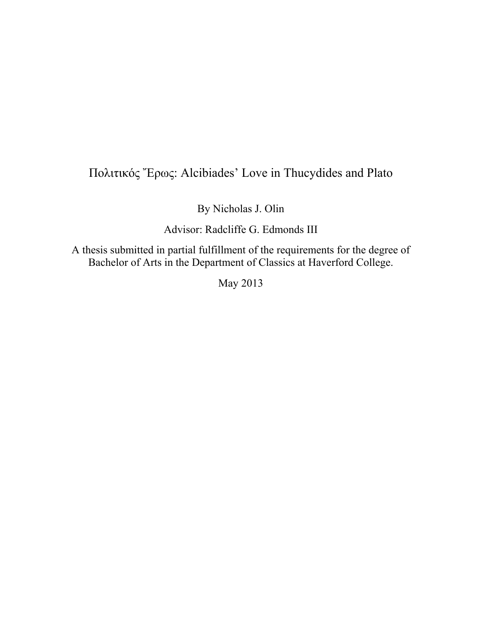# Πολιτικός Ἔρως: Alcibiades' Love in Thucydides and Plato

By Nicholas J. Olin

Advisor: Radcliffe G. Edmonds III

A thesis submitted in partial fulfillment of the requirements for the degree of Bachelor of Arts in the Department of Classics at Haverford College.

May 2013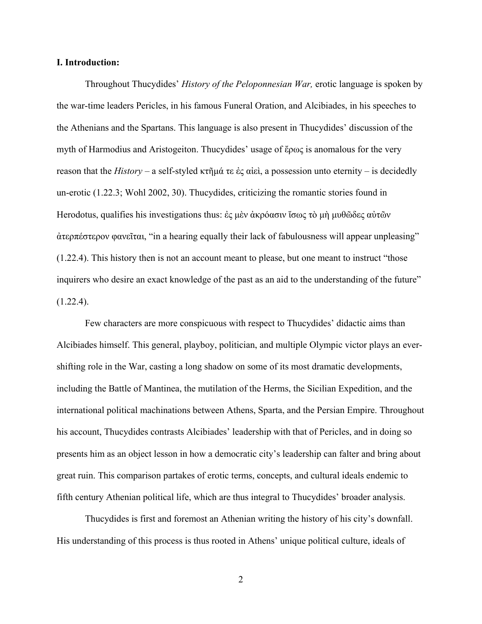#### **I. Introduction:**

 Throughout Thucydides' *History of the Peloponnesian War,* erotic language is spoken by the war-time leaders Pericles, in his famous Funeral Oration, and Alcibiades, in his speeches to the Athenians and the Spartans. This language is also present in Thucydides' discussion of the myth of Harmodius and Aristogeiton. Thucydides' usage of ἔρως is anomalous for the very reason that the *History* – a self-styled κτῆμά τε ἐς αἰεὶ, a possession unto eternity – is decidedly un-erotic (1.22.3; Wohl 2002, 30). Thucydides, criticizing the romantic stories found in Herodotus, qualifies his investigations thus: ἐς μὲν ἀκρόασιν ἴσως τὸ μὴ μυθῶδες αὐτῶν ἀτερπέστερον φανεῖται, "in a hearing equally their lack of fabulousness will appear unpleasing" (1.22.4). This history then is not an account meant to please, but one meant to instruct "those inquirers who desire an exact knowledge of the past as an aid to the understanding of the future"  $(1.22.4)$ .

 Few characters are more conspicuous with respect to Thucydides' didactic aims than Alcibiades himself. This general, playboy, politician, and multiple Olympic victor plays an evershifting role in the War, casting a long shadow on some of its most dramatic developments, including the Battle of Mantinea, the mutilation of the Herms, the Sicilian Expedition, and the international political machinations between Athens, Sparta, and the Persian Empire. Throughout his account, Thucydides contrasts Alcibiades' leadership with that of Pericles, and in doing so presents him as an object lesson in how a democratic city's leadership can falter and bring about great ruin. This comparison partakes of erotic terms, concepts, and cultural ideals endemic to fifth century Athenian political life, which are thus integral to Thucydides' broader analysis.

 Thucydides is first and foremost an Athenian writing the history of his city's downfall. His understanding of this process is thus rooted in Athens' unique political culture, ideals of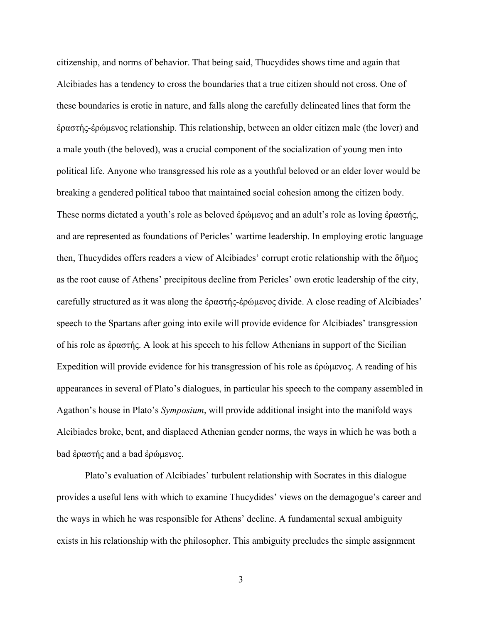citizenship, and norms of behavior. That being said, Thucydides shows time and again that Alcibiades has a tendency to cross the boundaries that a true citizen should not cross. One of these boundaries is erotic in nature, and falls along the carefully delineated lines that form the ἐραστής-ἐρώμενος relationship. This relationship, between an older citizen male (the lover) and a male youth (the beloved), was a crucial component of the socialization of young men into political life. Anyone who transgressed his role as a youthful beloved or an elder lover would be breaking a gendered political taboo that maintained social cohesion among the citizen body. These norms dictated a youth's role as beloved ἐρώμενος and an adult's role as loving ἐραστής, and are represented as foundations of Pericles' wartime leadership. In employing erotic language then, Thucydides offers readers a view of Alcibiades' corrupt erotic relationship with the δῆμος as the root cause of Athens' precipitous decline from Pericles' own erotic leadership of the city, carefully structured as it was along the ἐραστής-ἐρώμενος divide. A close reading of Alcibiades' speech to the Spartans after going into exile will provide evidence for Alcibiades' transgression of his role as ἐραστής. A look at his speech to his fellow Athenians in support of the Sicilian Expedition will provide evidence for his transgression of his role as ἐρώμενος. A reading of his appearances in several of Plato's dialogues, in particular his speech to the company assembled in Agathon's house in Plato's *Symposium*, will provide additional insight into the manifold ways Alcibiades broke, bent, and displaced Athenian gender norms, the ways in which he was both a bad ἐραστής and a bad ἐρώμενος.

 Plato's evaluation of Alcibiades' turbulent relationship with Socrates in this dialogue provides a useful lens with which to examine Thucydides' views on the demagogue's career and the ways in which he was responsible for Athens' decline. A fundamental sexual ambiguity exists in his relationship with the philosopher. This ambiguity precludes the simple assignment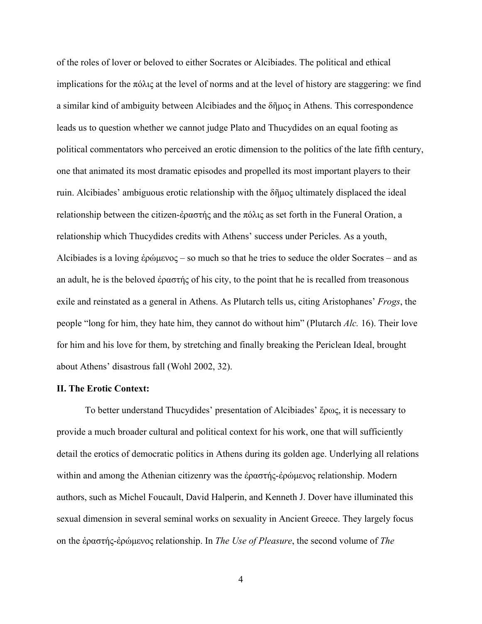of the roles of lover or beloved to either Socrates or Alcibiades. The political and ethical implications for the πόλις at the level of norms and at the level of history are staggering: we find a similar kind of ambiguity between Alcibiades and the δῆμος in Athens. This correspondence leads us to question whether we cannot judge Plato and Thucydides on an equal footing as political commentators who perceived an erotic dimension to the politics of the late fifth century, one that animated its most dramatic episodes and propelled its most important players to their ruin. Alcibiades' ambiguous erotic relationship with the δῆμος ultimately displaced the ideal relationship between the citizen-ἐραστής and the πόλις as set forth in the Funeral Oration, a relationship which Thucydides credits with Athens' success under Pericles. As a youth, Alcibiades is a loving έρώμενος – so much so that he tries to seduce the older Socrates – and as an adult, he is the beloved έραστής of his city, to the point that he is recalled from treasonous exile and reinstated as a general in Athens. As Plutarch tells us, citing Aristophanes' *Frogs*, the people "long for him, they hate him, they cannot do without him" (Plutarch *Alc.* 16). Their love for him and his love for them, by stretching and finally breaking the Periclean Ideal, brought about Athens' disastrous fall (Wohl 2002, 32).

# **II. The Erotic Context:**

To better understand Thucydides' presentation of Alcibiades' ἔρως, it is necessary to provide a much broader cultural and political context for his work, one that will sufficiently detail the erotics of democratic politics in Athens during its golden age. Underlying all relations within and among the Athenian citizenry was the ἐραστής-ἐρώμενος relationship. Modern authors, such as Michel Foucault, David Halperin, and Kenneth J. Dover have illuminated this sexual dimension in several seminal works on sexuality in Ancient Greece. They largely focus on the ἐραστής-ἐρώμενος relationship. In *The Use of Pleasure*, the second volume of *The*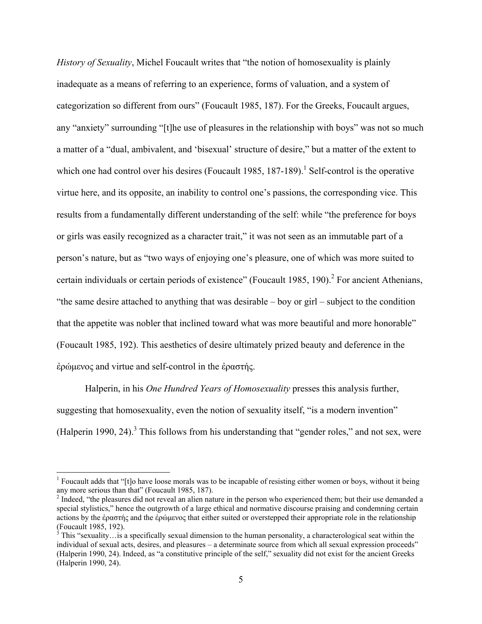*History of Sexuality*, Michel Foucault writes that "the notion of homosexuality is plainly inadequate as a means of referring to an experience, forms of valuation, and a system of categorization so different from ours" (Foucault 1985, 187). For the Greeks, Foucault argues, any "anxiety" surrounding "[t]he use of pleasures in the relationship with boys" was not so much a matter of a "dual, ambivalent, and 'bisexual' structure of desire," but a matter of the extent to which one had control over his desires (Foucault 1985, 187-189).<sup>1</sup> Self-control is the operative virtue here, and its opposite, an inability to control one's passions, the corresponding vice. This results from a fundamentally different understanding of the self: while "the preference for boys or girls was easily recognized as a character trait," it was not seen as an immutable part of a person's nature, but as "two ways of enjoying one's pleasure, one of which was more suited to certain individuals or certain periods of existence" (Foucault 1985, 190).<sup>2</sup> For ancient Athenians, "the same desire attached to anything that was desirable – boy or girl – subject to the condition that the appetite was nobler that inclined toward what was more beautiful and more honorable" (Foucault 1985, 192). This aesthetics of desire ultimately prized beauty and deference in the ἐρώμενος and virtue and self-control in the ἐραστής.

 Halperin, in his *One Hundred Years of Homosexuality* presses this analysis further, suggesting that homosexuality, even the notion of sexuality itself, "is a modern invention" (Halperin 1990, 24). $3$  This follows from his understanding that "gender roles," and not sex, were

<sup>&</sup>lt;sup>1</sup> Foucault adds that " $[t]$ o have loose morals was to be incapable of resisting either women or boys, without it being any more serious than that" (Foucault 1985, 187).

 $2<sup>2</sup>$  Indeed, "the pleasures did not reveal an alien nature in the person who experienced them; but their use demanded a special stylistics," hence the outgrowth of a large ethical and normative discourse praising and condemning certain actions by the ἐραστής and the ἐρώμενος that either suited or overstepped their appropriate role in the relationship (Foucault 1985, 192).

 $3$  This "sexuality... is a specifically sexual dimension to the human personality, a characterological seat within the individual of sexual acts, desires, and pleasures – a determinate source from which all sexual expression proceeds" (Halperin 1990, 24). Indeed, as "a constitutive principle of the self," sexuality did not exist for the ancient Greeks (Halperin 1990, 24).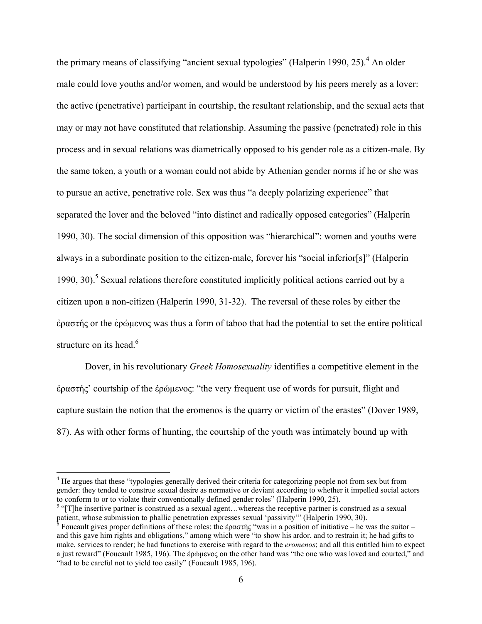the primary means of classifying "ancient sexual typologies" (Halperin 1990, 25).<sup>4</sup> An older male could love youths and/or women, and would be understood by his peers merely as a lover: the active (penetrative) participant in courtship, the resultant relationship, and the sexual acts that may or may not have constituted that relationship. Assuming the passive (penetrated) role in this process and in sexual relations was diametrically opposed to his gender role as a citizen-male. By the same token, a youth or a woman could not abide by Athenian gender norms if he or she was to pursue an active, penetrative role. Sex was thus "a deeply polarizing experience" that separated the lover and the beloved "into distinct and radically opposed categories" (Halperin 1990, 30). The social dimension of this opposition was "hierarchical": women and youths were always in a subordinate position to the citizen-male, forever his "social inferior[s]" (Halperin 1990, 30).<sup>5</sup> Sexual relations therefore constituted implicitly political actions carried out by a citizen upon a non-citizen (Halperin 1990, 31-32). The reversal of these roles by either the ἐραστής or the ἐρώμενος was thus a form of taboo that had the potential to set the entire political structure on its head.<sup>6</sup>

 Dover, in his revolutionary *Greek Homosexuality* identifies a competitive element in the ἐραστής' courtship of the ἐρώμενος: "the very frequent use of words for pursuit, flight and capture sustain the notion that the eromenos is the quarry or victim of the erastes" (Dover 1989, 87). As with other forms of hunting, the courtship of the youth was intimately bound up with

<sup>&</sup>lt;sup>4</sup> He argues that these "typologies generally derived their criteria for categorizing people not from sex but from gender: they tended to construe sexual desire as normative or deviant according to whether it impelled social actors to conform to or to violate their conventionally defined gender roles" (Halperin 1990, 25).

 $5$  "[T]he insertive partner is construed as a sexual agent...whereas the receptive partner is construed as a sexual patient, whose submission to phallic penetration expresses sexual 'passivity'" (Halperin 1990, 30).

<sup>&</sup>lt;sup>6</sup> Foucault gives proper definitions of these roles: the ἐραστής "was in a position of initiative – he was the suitor – and this gave him rights and obligations," among which were "to show his ardor, and to restrain it; he had gifts to make, services to render; he had functions to exercise with regard to the *eromenos*; and all this entitled him to expect a just reward" (Foucault 1985, 196). The ἐρώμενος on the other hand was "the one who was loved and courted," and "had to be careful not to yield too easily" (Foucault 1985, 196).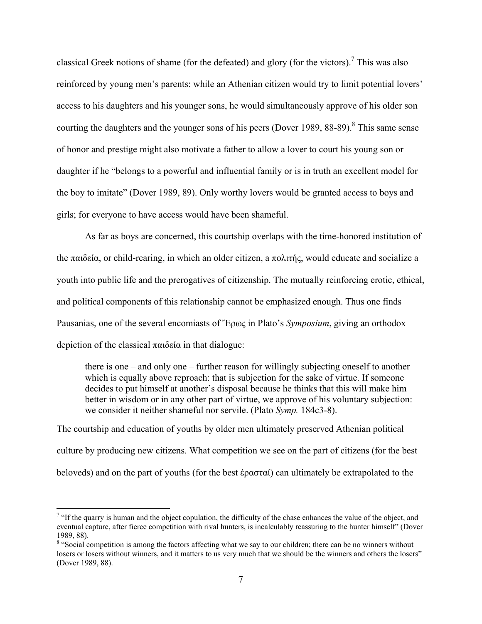classical Greek notions of shame (for the defeated) and glory (for the victors).<sup>7</sup> This was also reinforced by young men's parents: while an Athenian citizen would try to limit potential lovers' access to his daughters and his younger sons, he would simultaneously approve of his older son courting the daughters and the younger sons of his peers (Dover 1989, 88-89). $^8$  This same sense of honor and prestige might also motivate a father to allow a lover to court his young son or daughter if he "belongs to a powerful and influential family or is in truth an excellent model for the boy to imitate" (Dover 1989, 89). Only worthy lovers would be granted access to boys and girls; for everyone to have access would have been shameful.

 As far as boys are concerned, this courtship overlaps with the time-honored institution of the παιδεία, or child-rearing, in which an older citizen, a πολιτής, would educate and socialize a youth into public life and the prerogatives of citizenship. The mutually reinforcing erotic, ethical, and political components of this relationship cannot be emphasized enough. Thus one finds Pausanias, one of the several encomiasts of Ἔρως in Plato's *Symposium*, giving an orthodox depiction of the classical παιδεία in that dialogue:

there is one – and only one – further reason for willingly subjecting oneself to another which is equally above reproach: that is subjection for the sake of virtue. If someone decides to put himself at another's disposal because he thinks that this will make him better in wisdom or in any other part of virtue, we approve of his voluntary subjection: we consider it neither shameful nor servile. (Plato *Symp.* 184c3-8).

The courtship and education of youths by older men ultimately preserved Athenian political culture by producing new citizens. What competition we see on the part of citizens (for the best beloveds) and on the part of youths (for the best ἐρασταί) can ultimately be extrapolated to the

<sup>&</sup>lt;sup>7</sup> "If the quarry is human and the object copulation, the difficulty of the chase enhances the value of the object, and eventual capture, after fierce competition with rival hunters, is incalculably reassuring to the hunter himself" (Dover 1989, 88).

<sup>&</sup>lt;sup>8</sup> "Social competition is among the factors affecting what we say to our children; there can be no winners without losers or losers without winners, and it matters to us very much that we should be the winners and others the losers" (Dover 1989, 88).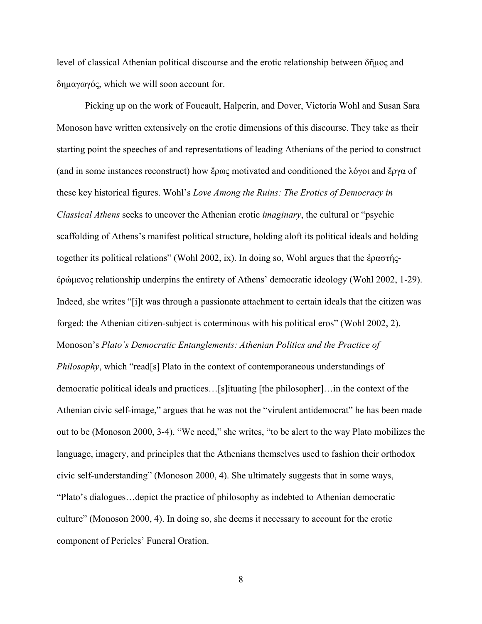level of classical Athenian political discourse and the erotic relationship between δῆμος and δημαγωγός, which we will soon account for.

 Picking up on the work of Foucault, Halperin, and Dover, Victoria Wohl and Susan Sara Monoson have written extensively on the erotic dimensions of this discourse. They take as their starting point the speeches of and representations of leading Athenians of the period to construct (and in some instances reconstruct) how ἔρως motivated and conditioned the λόγοι and ἔργα of these key historical figures. Wohl's *Love Among the Ruins: The Erotics of Democracy in Classical Athens* seeks to uncover the Athenian erotic *imaginary*, the cultural or "psychic scaffolding of Athens's manifest political structure, holding aloft its political ideals and holding together its political relations" (Wohl 2002, ix). In doing so, Wohl argues that the ἐραστήςἐρώμενος relationship underpins the entirety of Athens' democratic ideology (Wohl 2002, 1-29). Indeed, she writes "[i]t was through a passionate attachment to certain ideals that the citizen was forged: the Athenian citizen-subject is coterminous with his political eros" (Wohl 2002, 2). Monoson's *Plato's Democratic Entanglements: Athenian Politics and the Practice of Philosophy*, which "read[s] Plato in the context of contemporaneous understandings of democratic political ideals and practices…[s]ituating [the philosopher]…in the context of the Athenian civic self-image," argues that he was not the "virulent antidemocrat" he has been made out to be (Monoson 2000, 3-4). "We need," she writes, "to be alert to the way Plato mobilizes the language, imagery, and principles that the Athenians themselves used to fashion their orthodox civic self-understanding" (Monoson 2000, 4). She ultimately suggests that in some ways, "Plato's dialogues…depict the practice of philosophy as indebted to Athenian democratic culture" (Monoson 2000, 4). In doing so, she deems it necessary to account for the erotic component of Pericles' Funeral Oration.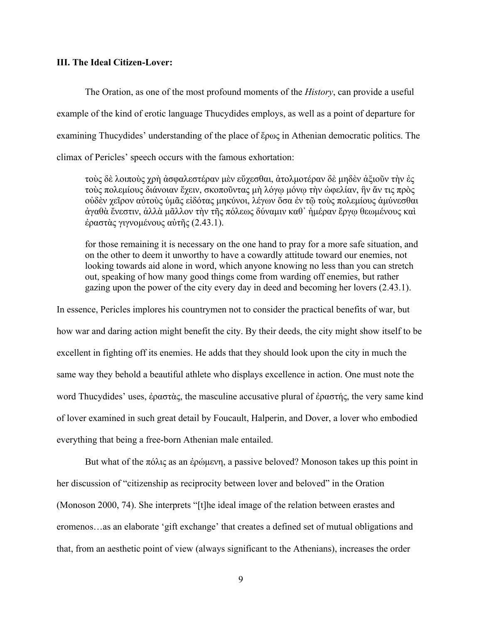#### **III. The Ideal Citizen-Lover:**

The Oration, as one of the most profound moments of the *History*, can provide a useful example of the kind of erotic language Thucydides employs, as well as a point of departure for examining Thucydides' understanding of the place of ἔρως in Athenian democratic politics. The climax of Pericles' speech occurs with the famous exhortation:

τοὺς δὲ λοιποὺς χρὴ ἀσφαλεστέραν μὲν εὔχεσθαι, ἀτολμοτέραν δὲ μηδὲν ἀξιοῦν τὴν ἐς τοὺς πολεμίους διάνοιαν ἔχειν, σκοποῦντας μὴ λόγῳ μόνῳ τὴν ὠφελίαν, ἣν ἄν τις πρὸς οὐδὲν χεῖρον αὐτοὺς ὑμᾶς εἰδότας μηκύνοι, λέγων ὅσα ἐν τῷ τοὺς πολεμίους ἀμύνεσθαι ἀγαθὰ ἔνεστιν, ἀλλὰ μᾶλλον τὴν τῆς πόλεως δύναμιν καθ᾽ ἡμέραν ἔργῳ θεωμένους καὶ ἐραστὰς γιγνομένους αὐτῆς (2.43.1).

for those remaining it is necessary on the one hand to pray for a more safe situation, and on the other to deem it unworthy to have a cowardly attitude toward our enemies, not looking towards aid alone in word, which anyone knowing no less than you can stretch out, speaking of how many good things come from warding off enemies, but rather gazing upon the power of the city every day in deed and becoming her lovers (2.43.1).

In essence, Pericles implores his countrymen not to consider the practical benefits of war, but how war and daring action might benefit the city. By their deeds, the city might show itself to be excellent in fighting off its enemies. He adds that they should look upon the city in much the same way they behold a beautiful athlete who displays excellence in action. One must note the word Thucydides' uses, ἐραστὰς, the masculine accusative plural of ἐραστής, the very same kind of lover examined in such great detail by Foucault, Halperin, and Dover, a lover who embodied everything that being a free-born Athenian male entailed.

But what of the πόλις as an έρώμενη, a passive beloved? Monoson takes up this point in her discussion of "citizenship as reciprocity between lover and beloved" in the Oration (Monoson 2000, 74). She interprets "[t]he ideal image of the relation between erastes and eromenos…as an elaborate 'gift exchange' that creates a defined set of mutual obligations and that, from an aesthetic point of view (always significant to the Athenians), increases the order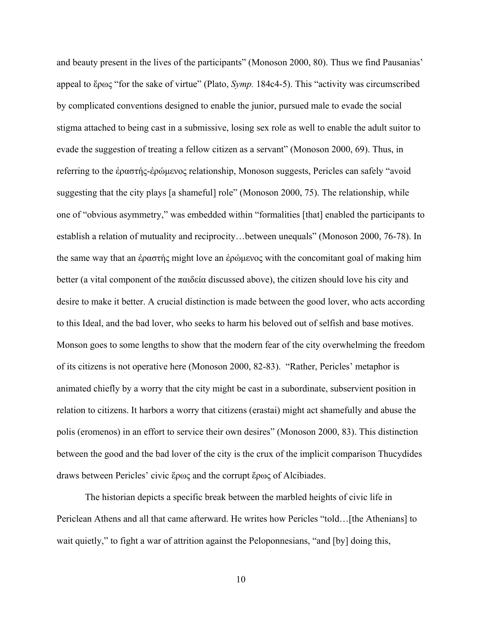and beauty present in the lives of the participants" (Monoson 2000, 80). Thus we find Pausanias' appeal to ἔρως "for the sake of virtue" (Plato, *Symp.* 184c4-5). This "activity was circumscribed by complicated conventions designed to enable the junior, pursued male to evade the social stigma attached to being cast in a submissive, losing sex role as well to enable the adult suitor to evade the suggestion of treating a fellow citizen as a servant" (Monoson 2000, 69). Thus, in referring to the ἐραστής-ἐρώμενος relationship, Monoson suggests, Pericles can safely "avoid suggesting that the city plays [a shameful] role" (Monoson 2000, 75). The relationship, while one of "obvious asymmetry," was embedded within "formalities [that] enabled the participants to establish a relation of mutuality and reciprocity…between unequals" (Monoson 2000, 76-78). In the same way that an ἐραστής might love an ἐρώμενος with the concomitant goal of making him better (a vital component of the  $\pi \alpha \delta \epsilon \alpha$  discussed above), the citizen should love his city and desire to make it better. A crucial distinction is made between the good lover, who acts according to this Ideal, and the bad lover, who seeks to harm his beloved out of selfish and base motives. Monson goes to some lengths to show that the modern fear of the city overwhelming the freedom of its citizens is not operative here (Monoson 2000, 82-83). "Rather, Pericles' metaphor is animated chiefly by a worry that the city might be cast in a subordinate, subservient position in relation to citizens. It harbors a worry that citizens (erastai) might act shamefully and abuse the polis (eromenos) in an effort to service their own desires" (Monoson 2000, 83). This distinction between the good and the bad lover of the city is the crux of the implicit comparison Thucydides draws between Pericles' civic ἔρως and the corrupt ἔρως of Alcibiades.

 The historian depicts a specific break between the marbled heights of civic life in Periclean Athens and all that came afterward. He writes how Pericles "told... [the Athenians] to wait quietly," to fight a war of attrition against the Peloponnesians, "and [by] doing this,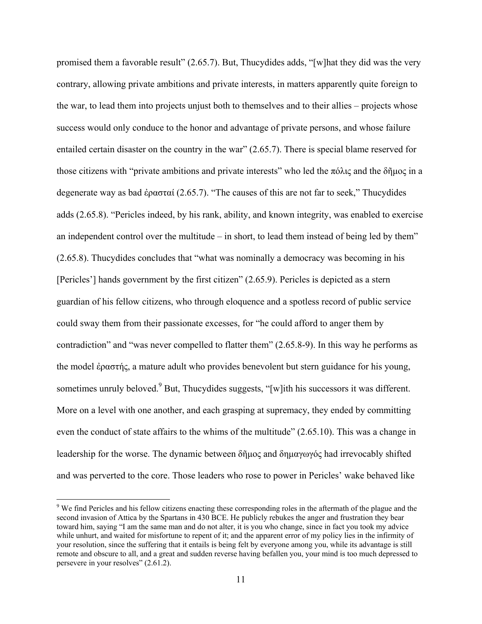promised them a favorable result" (2.65.7). But, Thucydides adds, "[w]hat they did was the very contrary, allowing private ambitions and private interests, in matters apparently quite foreign to the war, to lead them into projects unjust both to themselves and to their allies – projects whose success would only conduce to the honor and advantage of private persons, and whose failure entailed certain disaster on the country in the war" (2.65.7). There is special blame reserved for those citizens with "private ambitions and private interests" who led the πόλις and the δῆμος in a degenerate way as bad ἐρασταί (2.65.7). "The causes of this are not far to seek," Thucydides adds (2.65.8). "Pericles indeed, by his rank, ability, and known integrity, was enabled to exercise an independent control over the multitude – in short, to lead them instead of being led by them" (2.65.8). Thucydides concludes that "what was nominally a democracy was becoming in his [Pericles'] hands government by the first citizen" (2.65.9). Pericles is depicted as a stern guardian of his fellow citizens, who through eloquence and a spotless record of public service could sway them from their passionate excesses, for "he could afford to anger them by contradiction" and "was never compelled to flatter them" (2.65.8-9). In this way he performs as the model ἐραστής, a mature adult who provides benevolent but stern guidance for his young, sometimes unruly beloved.<sup>9</sup> But, Thucydides suggests, "[w]ith his successors it was different. More on a level with one another, and each grasping at supremacy, they ended by committing even the conduct of state affairs to the whims of the multitude" (2.65.10). This was a change in leadership for the worse. The dynamic between δῆμος and δημαγωγός had irrevocably shifted and was perverted to the core. Those leaders who rose to power in Pericles' wake behaved like

<sup>&</sup>lt;sup>9</sup> We find Pericles and his fellow citizens enacting these corresponding roles in the aftermath of the plague and the second invasion of Attica by the Spartans in 430 BCE. He publicly rebukes the anger and frustration they bear toward him, saying "I am the same man and do not alter, it is you who change, since in fact you took my advice while unhurt, and waited for misfortune to repent of it; and the apparent error of my policy lies in the infirmity of your resolution, since the suffering that it entails is being felt by everyone among you, while its advantage is still remote and obscure to all, and a great and sudden reverse having befallen you, your mind is too much depressed to persevere in your resolves" (2.61.2).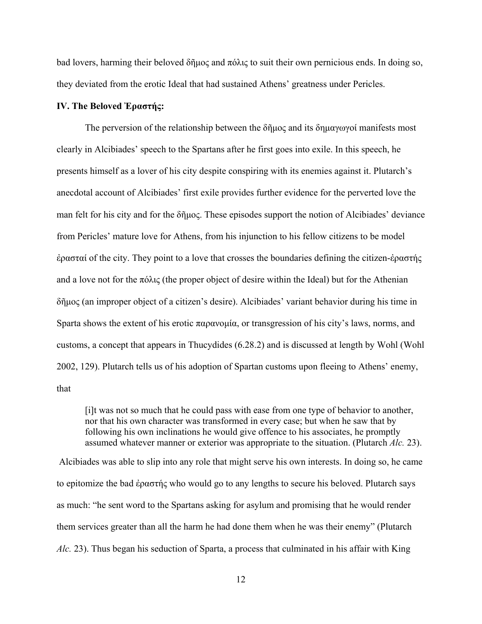bad lovers, harming their beloved δῆμος and πόλις to suit their own pernicious ends. In doing so, they deviated from the erotic Ideal that had sustained Athens' greatness under Pericles.

# **IV. The Beloved Ἐραστής:**

The perversion of the relationship between the  $\delta \tilde{\eta} \mu \alpha \zeta$  and its  $\delta \eta \mu \alpha \gamma \omega \gamma \alpha'$  manifests most clearly in Alcibiades' speech to the Spartans after he first goes into exile. In this speech, he presents himself as a lover of his city despite conspiring with its enemies against it. Plutarch's anecdotal account of Alcibiades' first exile provides further evidence for the perverted love the man felt for his city and for the δῆμος. These episodes support the notion of Alcibiades' deviance from Pericles' mature love for Athens, from his injunction to his fellow citizens to be model ἐρασταί of the city. They point to a love that crosses the boundaries defining the citizen-ἐραστής and a love not for the  $\pi\delta\lambda\varsigma$  (the proper object of desire within the Ideal) but for the Athenian δῆμος (an improper object of a citizen's desire). Alcibiades' variant behavior during his time in Sparta shows the extent of his erotic παρανομία, or transgression of his city's laws, norms, and customs, a concept that appears in Thucydides (6.28.2) and is discussed at length by Wohl (Wohl 2002, 129). Plutarch tells us of his adoption of Spartan customs upon fleeing to Athens' enemy, that

[i]t was not so much that he could pass with ease from one type of behavior to another, nor that his own character was transformed in every case; but when he saw that by following his own inclinations he would give offence to his associates, he promptly assumed whatever manner or exterior was appropriate to the situation. (Plutarch *Alc.* 23).

 Alcibiades was able to slip into any role that might serve his own interests. In doing so, he came to epitomize the bad ἐραστής who would go to any lengths to secure his beloved. Plutarch says as much: "he sent word to the Spartans asking for asylum and promising that he would render them services greater than all the harm he had done them when he was their enemy" (Plutarch *Alc.* 23). Thus began his seduction of Sparta, a process that culminated in his affair with King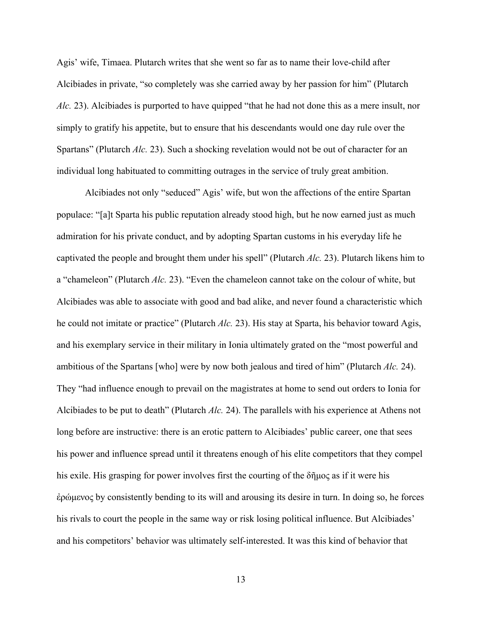Agis' wife, Timaea. Plutarch writes that she went so far as to name their love-child after Alcibiades in private, "so completely was she carried away by her passion for him" (Plutarch *Alc.* 23). Alcibiades is purported to have quipped "that he had not done this as a mere insult, nor simply to gratify his appetite, but to ensure that his descendants would one day rule over the Spartans" (Plutarch *Alc.* 23). Such a shocking revelation would not be out of character for an individual long habituated to committing outrages in the service of truly great ambition.

 Alcibiades not only "seduced" Agis' wife, but won the affections of the entire Spartan populace: "[a]t Sparta his public reputation already stood high, but he now earned just as much admiration for his private conduct, and by adopting Spartan customs in his everyday life he captivated the people and brought them under his spell" (Plutarch *Alc.* 23). Plutarch likens him to a "chameleon" (Plutarch *Alc.* 23). "Even the chameleon cannot take on the colour of white, but Alcibiades was able to associate with good and bad alike, and never found a characteristic which he could not imitate or practice" (Plutarch *Alc.* 23). His stay at Sparta, his behavior toward Agis, and his exemplary service in their military in Ionia ultimately grated on the "most powerful and ambitious of the Spartans [who] were by now both jealous and tired of him" (Plutarch *Alc.* 24). They "had influence enough to prevail on the magistrates at home to send out orders to Ionia for Alcibiades to be put to death" (Plutarch *Alc.* 24). The parallels with his experience at Athens not long before are instructive: there is an erotic pattern to Alcibiades' public career, one that sees his power and influence spread until it threatens enough of his elite competitors that they compel his exile. His grasping for power involves first the courting of the δῆμος as if it were his ἐρώμενος by consistently bending to its will and arousing its desire in turn. In doing so, he forces his rivals to court the people in the same way or risk losing political influence. But Alcibiades' and his competitors' behavior was ultimately self-interested. It was this kind of behavior that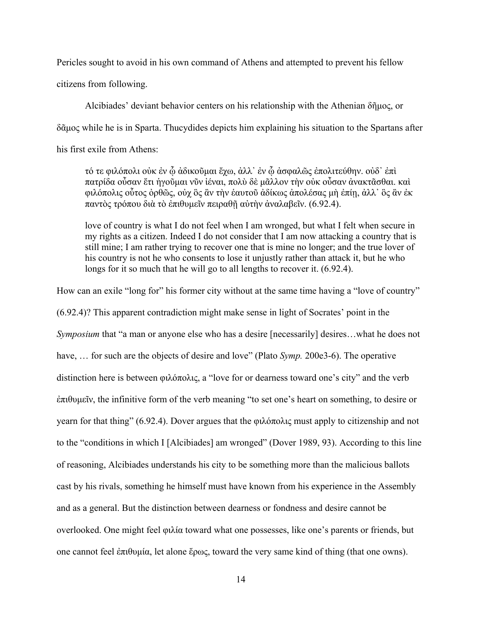Pericles sought to avoid in his own command of Athens and attempted to prevent his fellow

citizens from following.

 Alcibiades' deviant behavior centers on his relationship with the Athenian δῆμος, or δᾶμος while he is in Sparta. Thucydides depicts him explaining his situation to the Spartans after his first exile from Athens:

τό τε φιλόπολι οὐκ ἐν ᾧ ἀδικοῦμαι ἔχω, ἀλλ᾽ ἐν ᾧ ἀσφαλῶς ἐπολιτεύθην. οὐδ᾽ ἐπὶ πατρίδα οὖσαν ἔτι ἡγοῦμαι νῦν ἰέναι, πολὺ δὲ μᾶλλον τὴν οὐκ οὖσαν ἀνακτᾶσθαι. καὶ φιλόπολις οὗτος ὀρθῶς, οὐχ ὃς ἂν τὴν ἑαυτοῦ ἀδίκως ἀπολέσας μὴ ἐπίῃ, ἀλλ᾽ ὃς ἂν ἐκ παντὸς τρόπου διὰ τὸ ἐπιθυμεῖν πειραθῇ αὐτὴν ἀναλαβεῖν. (6.92.4).

love of country is what I do not feel when I am wronged, but what I felt when secure in my rights as a citizen. Indeed I do not consider that I am now attacking a country that is still mine; I am rather trying to recover one that is mine no longer; and the true lover of his country is not he who consents to lose it unjustly rather than attack it, but he who longs for it so much that he will go to all lengths to recover it.  $(6.92.4)$ .

How can an exile "long for" his former city without at the same time having a "love of country" (6.92.4)? This apparent contradiction might make sense in light of Socrates' point in the *Symposium* that "a man or anyone else who has a desire [necessarily] desires...what he does not have, … for such are the objects of desire and love" (Plato *Symp.* 200e3-6). The operative distinction here is between φιλόπολις, a "love for or dearness toward one's city" and the verb ἐπιθυμεῖν, the infinitive form of the verb meaning "to set one's heart on something, to desire or yearn for that thing" (6.92.4). Dover argues that the φιλόπολις must apply to citizenship and not to the "conditions in which I [Alcibiades] am wronged" (Dover 1989, 93). According to this line of reasoning, Alcibiades understands his city to be something more than the malicious ballots cast by his rivals, something he himself must have known from his experience in the Assembly and as a general. But the distinction between dearness or fondness and desire cannot be overlooked. One might feel φιλία toward what one possesses, like one's parents or friends, but one cannot feel ἐπιθυμία, let alone ἔρως, toward the very same kind of thing (that one owns).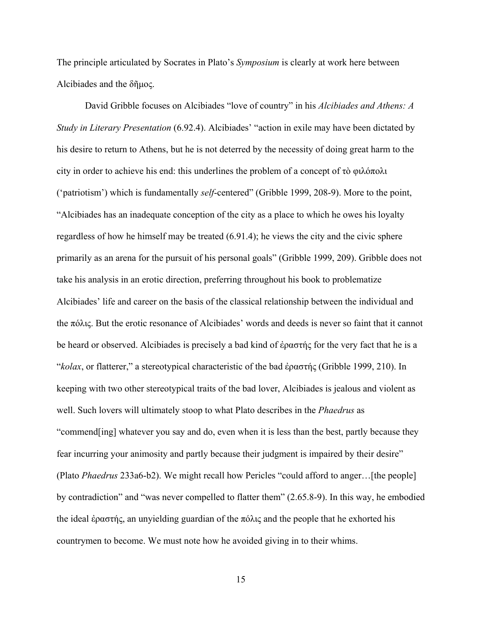The principle articulated by Socrates in Plato's *Symposium* is clearly at work here between Alcibiades and the δῆμος.

 David Gribble focuses on Alcibiades "love of country" in his *Alcibiades and Athens: A Study in Literary Presentation* (6.92.4). Alcibiades' "action in exile may have been dictated by his desire to return to Athens, but he is not deterred by the necessity of doing great harm to the city in order to achieve his end: this underlines the problem of a concept of τὸ φιλόπολι ('patriotism') which is fundamentally *self*-centered" (Gribble 1999, 208-9). More to the point, "Alcibiades has an inadequate conception of the city as a place to which he owes his loyalty regardless of how he himself may be treated (6.91.4); he views the city and the civic sphere primarily as an arena for the pursuit of his personal goals" (Gribble 1999, 209). Gribble does not take his analysis in an erotic direction, preferring throughout his book to problematize Alcibiades' life and career on the basis of the classical relationship between the individual and the πόλις. But the erotic resonance of Alcibiades' words and deeds is never so faint that it cannot be heard or observed. Alcibiades is precisely a bad kind of ἐραστής for the very fact that he is a "*kolax*, or flatterer," a stereotypical characteristic of the bad ἐραστής (Gribble 1999, 210). In keeping with two other stereotypical traits of the bad lover, Alcibiades is jealous and violent as well. Such lovers will ultimately stoop to what Plato describes in the *Phaedrus* as "commend[ing] whatever you say and do, even when it is less than the best, partly because they fear incurring your animosity and partly because their judgment is impaired by their desire" (Plato *Phaedrus* 233a6-b2). We might recall how Pericles "could afford to anger…[the people] by contradiction" and "was never compelled to flatter them" (2.65.8-9). In this way, he embodied the ideal έραστής, an unyielding guardian of the πόλις and the people that he exhorted his countrymen to become. We must note how he avoided giving in to their whims.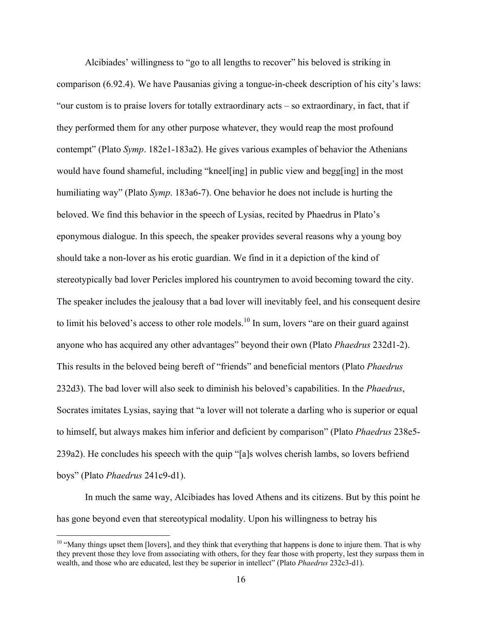Alcibiades' willingness to "go to all lengths to recover" his beloved is striking in comparison (6.92.4). We have Pausanias giving a tongue-in-cheek description of his city's laws: "our custom is to praise lovers for totally extraordinary acts – so extraordinary, in fact, that if they performed them for any other purpose whatever, they would reap the most profound contempt" (Plato *Symp*. 182e1-183a2). He gives various examples of behavior the Athenians would have found shameful, including "kneel[ing] in public view and begg[ing] in the most humiliating way" (Plato *Symp*. 183a6-7). One behavior he does not include is hurting the beloved. We find this behavior in the speech of Lysias, recited by Phaedrus in Plato's eponymous dialogue. In this speech, the speaker provides several reasons why a young boy should take a non-lover as his erotic guardian. We find in it a depiction of the kind of stereotypically bad lover Pericles implored his countrymen to avoid becoming toward the city. The speaker includes the jealousy that a bad lover will inevitably feel, and his consequent desire to limit his beloved's access to other role models.<sup>10</sup> In sum, lovers "are on their guard against anyone who has acquired any other advantages" beyond their own (Plato *Phaedrus* 232d1-2). This results in the beloved being bereft of "friends" and beneficial mentors (Plato *Phaedrus*  232d3). The bad lover will also seek to diminish his beloved's capabilities. In the *Phaedrus*, Socrates imitates Lysias, saying that "a lover will not tolerate a darling who is superior or equal to himself, but always makes him inferior and deficient by comparison" (Plato *Phaedrus* 238e5- 239a2). He concludes his speech with the quip "[a]s wolves cherish lambs, so lovers befriend boys" (Plato *Phaedrus* 241c9-d1).

 In much the same way, Alcibiades has loved Athens and its citizens. But by this point he has gone beyond even that stereotypical modality. Upon his willingness to betray his

 $10$  "Many things upset them [lovers], and they think that everything that happens is done to injure them. That is why they prevent those they love from associating with others, for they fear those with property, lest they surpass them in wealth, and those who are educated, lest they be superior in intellect" (Plato *Phaedrus* 232c3-d1).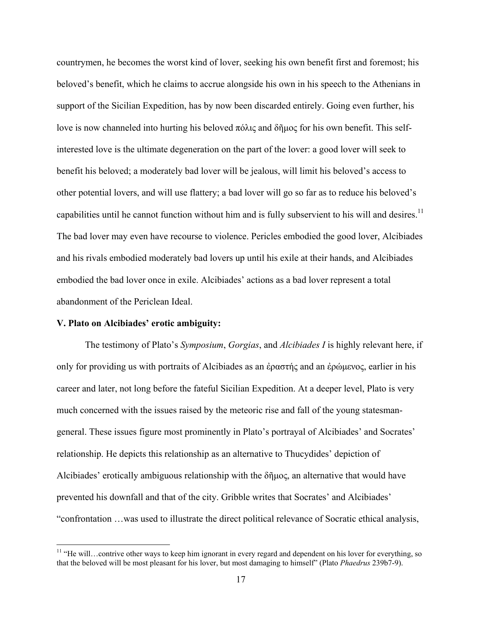countrymen, he becomes the worst kind of lover, seeking his own benefit first and foremost; his beloved's benefit, which he claims to accrue alongside his own in his speech to the Athenians in support of the Sicilian Expedition, has by now been discarded entirely. Going even further, his love is now channeled into hurting his beloved πόλις and δῆμος for his own benefit. This selfinterested love is the ultimate degeneration on the part of the lover: a good lover will seek to benefit his beloved; a moderately bad lover will be jealous, will limit his beloved's access to other potential lovers, and will use flattery; a bad lover will go so far as to reduce his beloved's capabilities until he cannot function without him and is fully subservient to his will and desires.<sup>11</sup> The bad lover may even have recourse to violence. Pericles embodied the good lover, Alcibiades and his rivals embodied moderately bad lovers up until his exile at their hands, and Alcibiades embodied the bad lover once in exile. Alcibiades' actions as a bad lover represent a total abandonment of the Periclean Ideal.

#### **V. Plato on Alcibiades' erotic ambiguity:**

1

 The testimony of Plato's *Symposium*, *Gorgias*, and *Alcibiades I* is highly relevant here, if only for providing us with portraits of Alcibiades as an ἐραστής and an ἐρώμενος, earlier in his career and later, not long before the fateful Sicilian Expedition. At a deeper level, Plato is very much concerned with the issues raised by the meteoric rise and fall of the young statesmangeneral. These issues figure most prominently in Plato's portrayal of Alcibiades' and Socrates' relationship. He depicts this relationship as an alternative to Thucydides' depiction of Alcibiades' erotically ambiguous relationship with the δῆμος, an alternative that would have prevented his downfall and that of the city. Gribble writes that Socrates' and Alcibiades' "confrontation …was used to illustrate the direct political relevance of Socratic ethical analysis,

 $11$  "He will...contrive other ways to keep him ignorant in every regard and dependent on his lover for everything, so that the beloved will be most pleasant for his lover, but most damaging to himself" (Plato *Phaedrus* 239b7-9).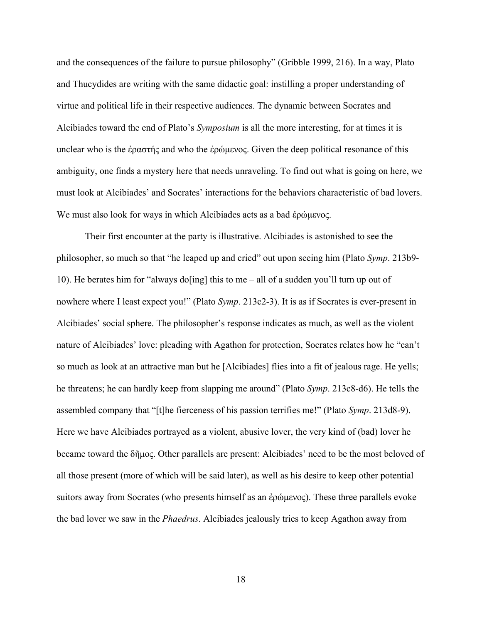and the consequences of the failure to pursue philosophy" (Gribble 1999, 216). In a way, Plato and Thucydides are writing with the same didactic goal: instilling a proper understanding of virtue and political life in their respective audiences. The dynamic between Socrates and Alcibiades toward the end of Plato's *Symposium* is all the more interesting, for at times it is unclear who is the ἐραστής and who the ἐρώμενος. Given the deep political resonance of this ambiguity, one finds a mystery here that needs unraveling. To find out what is going on here, we must look at Alcibiades' and Socrates' interactions for the behaviors characteristic of bad lovers. We must also look for ways in which Alcibiades acts as a bad ἐρώμενος.

 Their first encounter at the party is illustrative. Alcibiades is astonished to see the philosopher, so much so that "he leaped up and cried" out upon seeing him (Plato *Symp*. 213b9- 10). He berates him for "always do [ing] this to me – all of a sudden you'll turn up out of nowhere where I least expect you!" (Plato *Symp.* 213c2-3). It is as if Socrates is ever-present in Alcibiades' social sphere. The philosopher's response indicates as much, as well as the violent nature of Alcibiades' love: pleading with Agathon for protection, Socrates relates how he "can't so much as look at an attractive man but he [Alcibiades] flies into a fit of jealous rage. He yells; he threatens; he can hardly keep from slapping me around" (Plato *Symp*. 213c8-d6). He tells the assembled company that "[t]he fierceness of his passion terrifies me!" (Plato *Symp*. 213d8-9). Here we have Alcibiades portrayed as a violent, abusive lover, the very kind of (bad) lover he became toward the δῆμος. Other parallels are present: Alcibiades' need to be the most beloved of all those present (more of which will be said later), as well as his desire to keep other potential suitors away from Socrates (who presents himself as an ἐρώμενος). These three parallels evoke the bad lover we saw in the *Phaedrus*. Alcibiades jealously tries to keep Agathon away from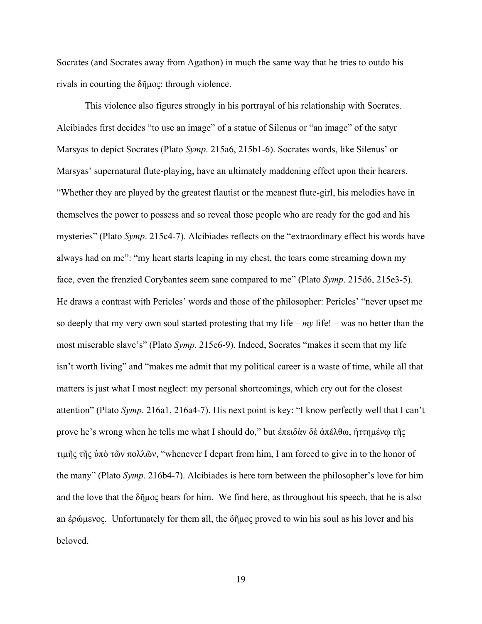Socrates (and Socrates away from Agathon) in much the same way that he tries to outdo his rivals in courting the δῆμος: through violence.

 This violence also figures strongly in his portrayal of his relationship with Socrates. Alcibiades first decides "to use an image" of a statue of Silenus or "an image" of the satyr Marsyas to depict Socrates (Plato *Symp*. 215a6, 215b1-6). Socrates words, like Silenus' or Marsyas' supernatural flute-playing, have an ultimately maddening effect upon their hearers. "Whether they are played by the greatest flautist or the meanest flute-girl, his melodies have in themselves the power to possess and so reveal those people who are ready for the god and his mysteries" (Plato *Symp*. 215c4-7). Alcibiades reflects on the "extraordinary effect his words have always had on me": "my heart starts leaping in my chest, the tears come streaming down my face, even the frenzied Corybantes seem sane compared to me" (Plato *Symp*. 215d6, 215e3-5). He draws a contrast with Pericles' words and those of the philosopher: Pericles' "never upset me so deeply that my very own soul started protesting that my life –  $my$  life! – was no better than the most miserable slave's" (Plato *Symp*. 215e6-9). Indeed, Socrates "makes it seem that my life isn't worth living" and "makes me admit that my political career is a waste of time, while all that matters is just what I most neglect: my personal shortcomings, which cry out for the closest attention" (Plato *Symp*. 216a1, 216a4-7). His next point is key: "I know perfectly well that I can't prove he's wrong when he tells me what I should do," but ἐπειδὰν δὲ ἀπέλθω, ἡττημένῳ τῆς τιμῆς τῆς ὑπὸ τῶν πολλῶν, "whenever I depart from him, I am forced to give in to the honor of the many" (Plato *Symp*. 216b4-7). Alcibiades is here torn between the philosopher's love for him and the love that the  $\delta\tilde{\eta}\mu$  bears for him. We find here, as throughout his speech, that he is also an ἐρώμενος. Unfortunately for them all, the δῆμος proved to win his soul as his lover and his beloved.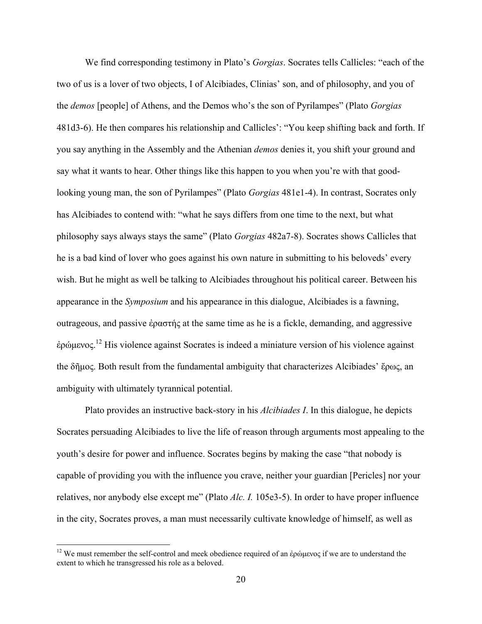We find corresponding testimony in Plato's *Gorgias*. Socrates tells Callicles: "each of the two of us is a lover of two objects, I of Alcibiades, Clinias' son, and of philosophy, and you of the *demos* [people] of Athens, and the Demos who's the son of Pyrilampes" (Plato *Gorgias* 481d3-6). He then compares his relationship and Callicles': "You keep shifting back and forth. If you say anything in the Assembly and the Athenian *demos* denies it, you shift your ground and say what it wants to hear. Other things like this happen to you when you're with that goodlooking young man, the son of Pyrilampes" (Plato *Gorgias* 481e1-4). In contrast, Socrates only has Alcibiades to contend with: "what he says differs from one time to the next, but what philosophy says always stays the same" (Plato *Gorgias* 482a7-8). Socrates shows Callicles that he is a bad kind of lover who goes against his own nature in submitting to his beloveds' every wish. But he might as well be talking to Alcibiades throughout his political career. Between his appearance in the *Symposium* and his appearance in this dialogue, Alcibiades is a fawning, outrageous, and passive ἐραστής at the same time as he is a fickle, demanding, and aggressive έρώμενος.<sup>12</sup> His violence against Socrates is indeed a miniature version of his violence against the δῆμος. Both result from the fundamental ambiguity that characterizes Alcibiades' ἔρως, an ambiguity with ultimately tyrannical potential.

 Plato provides an instructive back-story in his *Alcibiades I*. In this dialogue, he depicts Socrates persuading Alcibiades to live the life of reason through arguments most appealing to the youth's desire for power and influence. Socrates begins by making the case "that nobody is capable of providing you with the influence you crave, neither your guardian [Pericles] nor your relatives, nor anybody else except me" (Plato *Alc. I.* 105e3-5). In order to have proper influence in the city, Socrates proves, a man must necessarily cultivate knowledge of himself, as well as

<sup>&</sup>lt;sup>12</sup> We must remember the self-control and meek obedience required of an ἐρώμενος if we are to understand the extent to which he transgressed his role as a beloved.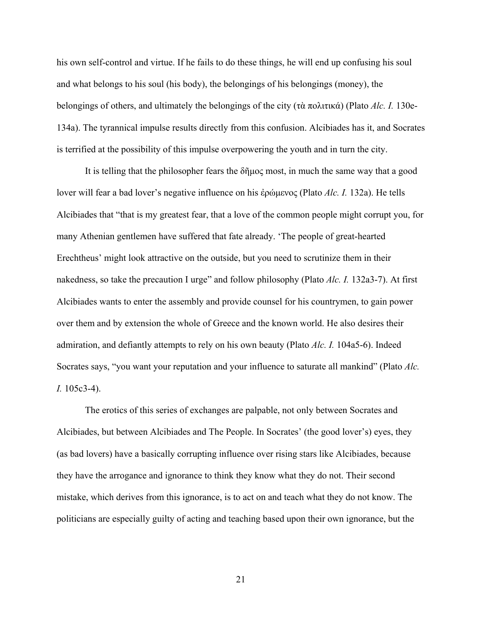his own self-control and virtue. If he fails to do these things, he will end up confusing his soul and what belongs to his soul (his body), the belongings of his belongings (money), the belongings of others, and ultimately the belongings of the city (τὰ πολιτικά) (Plato *Alc. I.* 130e-134a). The tyrannical impulse results directly from this confusion. Alcibiades has it, and Socrates is terrified at the possibility of this impulse overpowering the youth and in turn the city.

It is telling that the philosopher fears the  $\delta\tilde{\eta}$ μος most, in much the same way that a good lover will fear a bad lover's negative influence on his ἐρώμενος (Plato *Alc. I.* 132a). He tells Alcibiades that "that is my greatest fear, that a love of the common people might corrupt you, for many Athenian gentlemen have suffered that fate already. 'The people of great-hearted Erechtheus' might look attractive on the outside, but you need to scrutinize them in their nakedness, so take the precaution I urge" and follow philosophy (Plato *Alc. I.* 132a3-7). At first Alcibiades wants to enter the assembly and provide counsel for his countrymen, to gain power over them and by extension the whole of Greece and the known world. He also desires their admiration, and defiantly attempts to rely on his own beauty (Plato *Alc. I.* 104a5-6). Indeed Socrates says, "you want your reputation and your influence to saturate all mankind" (Plato *Alc. I.* 105c3-4).

 The erotics of this series of exchanges are palpable, not only between Socrates and Alcibiades, but between Alcibiades and The People. In Socrates' (the good lover's) eyes, they (as bad lovers) have a basically corrupting influence over rising stars like Alcibiades, because they have the arrogance and ignorance to think they know what they do not. Their second mistake, which derives from this ignorance, is to act on and teach what they do not know. The politicians are especially guilty of acting and teaching based upon their own ignorance, but the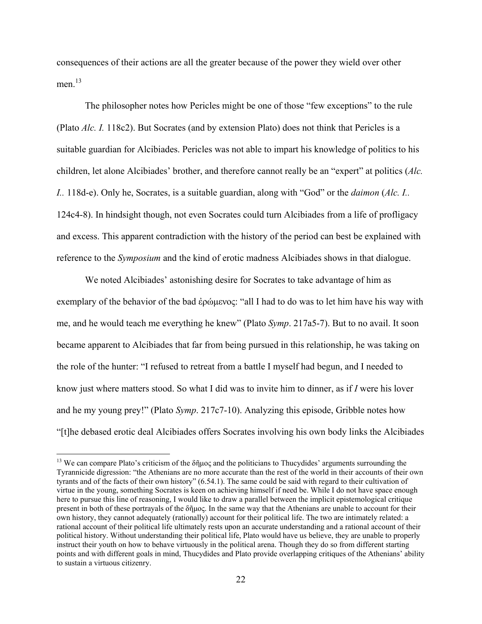consequences of their actions are all the greater because of the power they wield over other men $13$ 

 The philosopher notes how Pericles might be one of those "few exceptions" to the rule (Plato *Alc. I.* 118c2). But Socrates (and by extension Plato) does not think that Pericles is a suitable guardian for Alcibiades. Pericles was not able to impart his knowledge of politics to his children, let alone Alcibiades' brother, and therefore cannot really be an "expert" at politics (*Alc. I..* 118d-e). Only he, Socrates, is a suitable guardian, along with "God" or the *daimon* (*Alc. I..*  124c4-8). In hindsight though, not even Socrates could turn Alcibiades from a life of profligacy and excess. This apparent contradiction with the history of the period can best be explained with reference to the *Symposium* and the kind of erotic madness Alcibiades shows in that dialogue.

 We noted Alcibiades' astonishing desire for Socrates to take advantage of him as exemplary of the behavior of the bad ἐρώμενος: "all I had to do was to let him have his way with me, and he would teach me everything he knew" (Plato *Symp*. 217a5-7). But to no avail. It soon became apparent to Alcibiades that far from being pursued in this relationship, he was taking on the role of the hunter: "I refused to retreat from a battle I myself had begun, and I needed to know just where matters stood. So what I did was to invite him to dinner, as if *I* were his lover and he my young prey!" (Plato *Symp*. 217c7-10). Analyzing this episode, Gribble notes how "[t]he debased erotic deal Alcibiades offers Socrates involving his own body links the Alcibiades

<sup>&</sup>lt;sup>13</sup> We can compare Plato's criticism of the δῆμος and the politicians to Thucydides' arguments surrounding the Tyrannicide digression: "the Athenians are no more accurate than the rest of the world in their accounts of their own tyrants and of the facts of their own history" (6.54.1). The same could be said with regard to their cultivation of virtue in the young, something Socrates is keen on achieving himself if need be. While I do not have space enough here to pursue this line of reasoning, I would like to draw a parallel between the implicit epistemological critique present in both of these portrayals of the δῆμος. In the same way that the Athenians are unable to account for their own history, they cannot adequately (rationally) account for their political life. The two are intimately related: a rational account of their political life ultimately rests upon an accurate understanding and a rational account of their political history. Without understanding their political life, Plato would have us believe, they are unable to properly instruct their youth on how to behave virtuously in the political arena. Though they do so from different starting points and with different goals in mind, Thucydides and Plato provide overlapping critiques of the Athenians' ability to sustain a virtuous citizenry.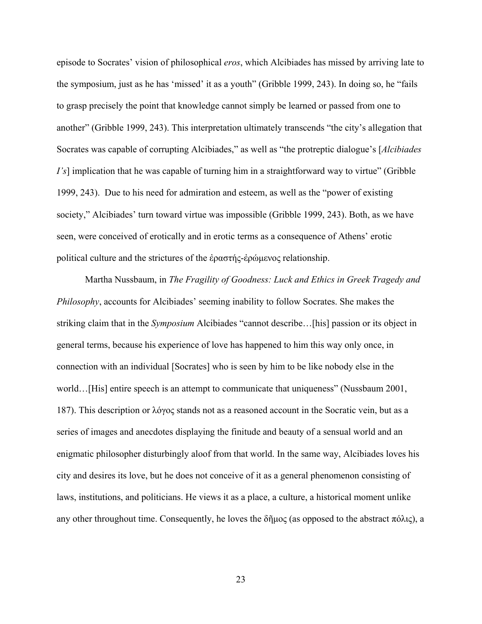episode to Socrates' vision of philosophical *eros*, which Alcibiades has missed by arriving late to the symposium, just as he has 'missed' it as a youth" (Gribble 1999, 243). In doing so, he "fails to grasp precisely the point that knowledge cannot simply be learned or passed from one to another" (Gribble 1999, 243). This interpretation ultimately transcends "the city's allegation that Socrates was capable of corrupting Alcibiades," as well as "the protreptic dialogue's [*Alcibiades I's*] implication that he was capable of turning him in a straightforward way to virtue" (Gribble 1999, 243). Due to his need for admiration and esteem, as well as the "power of existing society," Alcibiades' turn toward virtue was impossible (Gribble 1999, 243). Both, as we have seen, were conceived of erotically and in erotic terms as a consequence of Athens' erotic political culture and the strictures of the ἐραστής-ἐρώμενος relationship.

 Martha Nussbaum, in *The Fragility of Goodness: Luck and Ethics in Greek Tragedy and Philosophy*, accounts for Alcibiades' seeming inability to follow Socrates. She makes the striking claim that in the *Symposium* Alcibiades "cannot describe…[his] passion or its object in general terms, because his experience of love has happened to him this way only once, in connection with an individual [Socrates] who is seen by him to be like nobody else in the world…[His] entire speech is an attempt to communicate that uniqueness" (Nussbaum 2001, 187). This description or λόγος stands not as a reasoned account in the Socratic vein, but as a series of images and anecdotes displaying the finitude and beauty of a sensual world and an enigmatic philosopher disturbingly aloof from that world. In the same way, Alcibiades loves his city and desires its love, but he does not conceive of it as a general phenomenon consisting of laws, institutions, and politicians. He views it as a place, a culture, a historical moment unlike any other throughout time. Consequently, he loves the δῆμος (as opposed to the abstract πόλις), a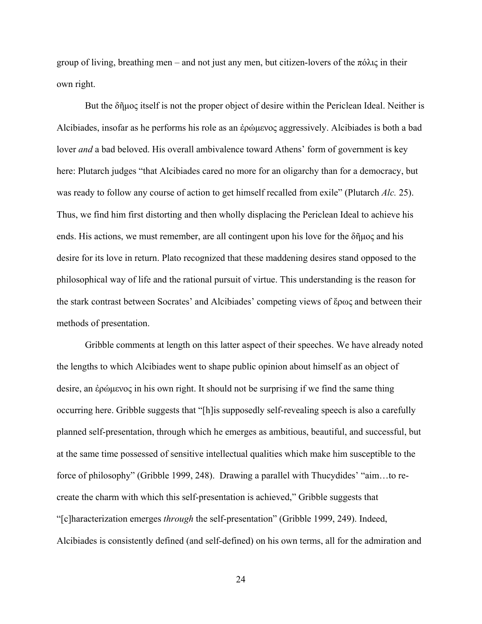group of living, breathing men – and not just any men, but citizen-lovers of the πόλις in their own right.

 But the δῆμος itself is not the proper object of desire within the Periclean Ideal. Neither is Alcibiades, insofar as he performs his role as an ἐρώμενος aggressively. Alcibiades is both a bad lover *and* a bad beloved. His overall ambivalence toward Athens' form of government is key here: Plutarch judges "that Alcibiades cared no more for an oligarchy than for a democracy, but was ready to follow any course of action to get himself recalled from exile" (Plutarch *Alc.* 25). Thus, we find him first distorting and then wholly displacing the Periclean Ideal to achieve his ends. His actions, we must remember, are all contingent upon his love for the δῆμος and his desire for its love in return. Plato recognized that these maddening desires stand opposed to the philosophical way of life and the rational pursuit of virtue. This understanding is the reason for the stark contrast between Socrates' and Alcibiades' competing views of ἔρως and between their methods of presentation.

 Gribble comments at length on this latter aspect of their speeches. We have already noted the lengths to which Alcibiades went to shape public opinion about himself as an object of desire, an ἐρώμενος in his own right. It should not be surprising if we find the same thing occurring here. Gribble suggests that "[h]is supposedly self-revealing speech is also a carefully planned self-presentation, through which he emerges as ambitious, beautiful, and successful, but at the same time possessed of sensitive intellectual qualities which make him susceptible to the force of philosophy" (Gribble 1999, 248). Drawing a parallel with Thucydides' "aim…to recreate the charm with which this self-presentation is achieved," Gribble suggests that "[c]haracterization emerges *through* the self-presentation" (Gribble 1999, 249). Indeed, Alcibiades is consistently defined (and self-defined) on his own terms, all for the admiration and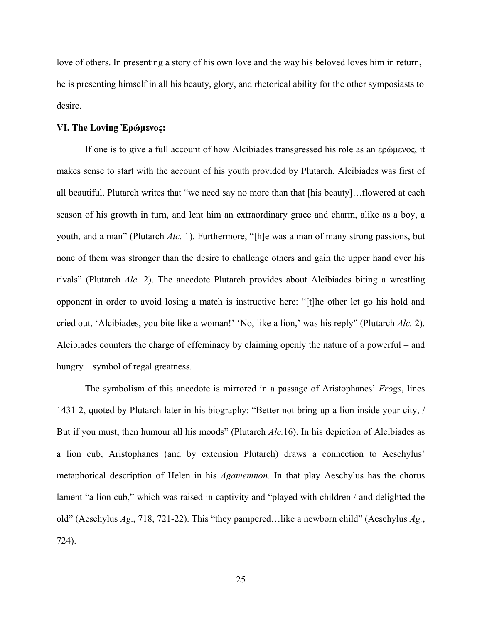love of others. In presenting a story of his own love and the way his beloved loves him in return, he is presenting himself in all his beauty, glory, and rhetorical ability for the other symposiasts to desire.

# **VI. The Loving Ἐρώμενος:**

 If one is to give a full account of how Alcibiades transgressed his role as an ἐρώμενος, it makes sense to start with the account of his youth provided by Plutarch. Alcibiades was first of all beautiful. Plutarch writes that "we need say no more than that [his beauty]…flowered at each season of his growth in turn, and lent him an extraordinary grace and charm, alike as a boy, a youth, and a man" (Plutarch *Alc.* 1). Furthermore, "[h]e was a man of many strong passions, but none of them was stronger than the desire to challenge others and gain the upper hand over his rivals" (Plutarch *Alc.* 2). The anecdote Plutarch provides about Alcibiades biting a wrestling opponent in order to avoid losing a match is instructive here: "[t]he other let go his hold and cried out, 'Alcibiades, you bite like a woman!' 'No, like a lion,' was his reply" (Plutarch *Alc.* 2). Alcibiades counters the charge of effeminacy by claiming openly the nature of a powerful – and hungry – symbol of regal greatness.

 The symbolism of this anecdote is mirrored in a passage of Aristophanes' *Frogs*, lines 1431-2, quoted by Plutarch later in his biography: "Better not bring up a lion inside your city, / But if you must, then humour all his moods" (Plutarch *Alc.*16). In his depiction of Alcibiades as a lion cub, Aristophanes (and by extension Plutarch) draws a connection to Aeschylus' metaphorical description of Helen in his *Agamemnon*. In that play Aeschylus has the chorus lament "a lion cub," which was raised in captivity and "played with children / and delighted the old" (Aeschylus *Ag*., 718, 721-22). This "they pampered…like a newborn child" (Aeschylus *Ag.*, 724).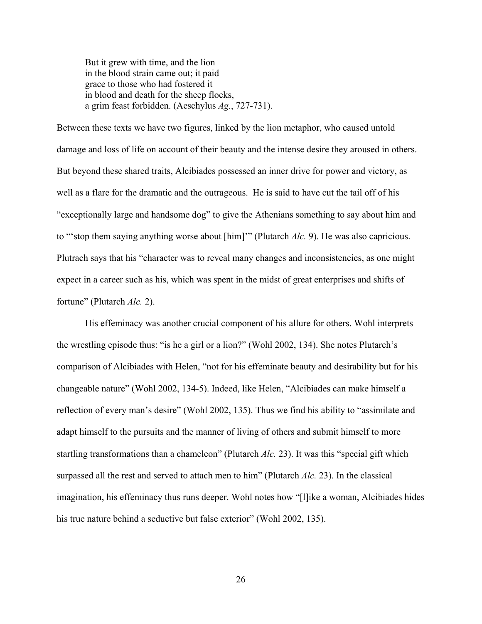But it grew with time, and the lion in the blood strain came out; it paid grace to those who had fostered it in blood and death for the sheep flocks, a grim feast forbidden. (Aeschylus *Ag.*, 727-731).

Between these texts we have two figures, linked by the lion metaphor, who caused untold damage and loss of life on account of their beauty and the intense desire they aroused in others. But beyond these shared traits, Alcibiades possessed an inner drive for power and victory, as well as a flare for the dramatic and the outrageous. He is said to have cut the tail off of his "exceptionally large and handsome dog" to give the Athenians something to say about him and to "'stop them saying anything worse about [him]'" (Plutarch *Alc.* 9). He was also capricious. Plutrach says that his "character was to reveal many changes and inconsistencies, as one might expect in a career such as his, which was spent in the midst of great enterprises and shifts of fortune" (Plutarch *Alc.* 2).

 His effeminacy was another crucial component of his allure for others. Wohl interprets the wrestling episode thus: "is he a girl or a lion?" (Wohl 2002, 134). She notes Plutarch's comparison of Alcibiades with Helen, "not for his effeminate beauty and desirability but for his changeable nature" (Wohl 2002, 134-5). Indeed, like Helen, "Alcibiades can make himself a reflection of every man's desire" (Wohl 2002, 135). Thus we find his ability to "assimilate and adapt himself to the pursuits and the manner of living of others and submit himself to more startling transformations than a chameleon" (Plutarch *Alc.* 23). It was this "special gift which surpassed all the rest and served to attach men to him" (Plutarch *Alc.* 23). In the classical imagination, his effeminacy thus runs deeper. Wohl notes how "[l]ike a woman, Alcibiades hides his true nature behind a seductive but false exterior" (Wohl 2002, 135).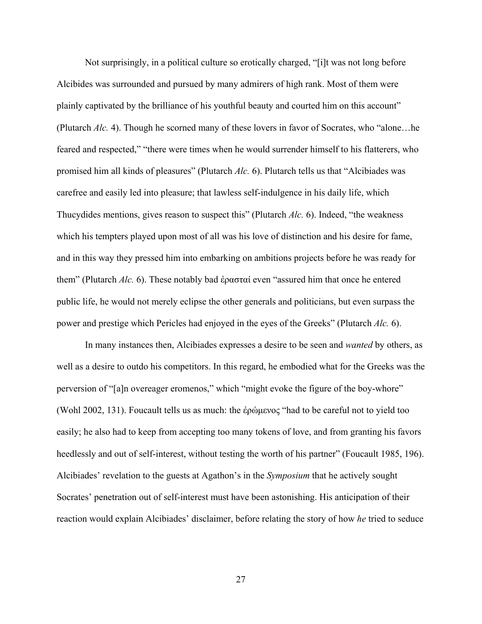Not surprisingly, in a political culture so erotically charged, "[i]t was not long before Alcibides was surrounded and pursued by many admirers of high rank. Most of them were plainly captivated by the brilliance of his youthful beauty and courted him on this account" (Plutarch *Alc.* 4). Though he scorned many of these lovers in favor of Socrates, who "alone…he feared and respected," "there were times when he would surrender himself to his flatterers, who promised him all kinds of pleasures" (Plutarch *Alc.* 6). Plutarch tells us that "Alcibiades was carefree and easily led into pleasure; that lawless self-indulgence in his daily life, which Thucydides mentions, gives reason to suspect this" (Plutarch *Alc.* 6). Indeed, "the weakness which his tempters played upon most of all was his love of distinction and his desire for fame, and in this way they pressed him into embarking on ambitions projects before he was ready for them" (Plutarch *Alc.* 6). These notably bad ἐρασταί even "assured him that once he entered public life, he would not merely eclipse the other generals and politicians, but even surpass the power and prestige which Pericles had enjoyed in the eyes of the Greeks" (Plutarch *Alc.* 6).

 In many instances then, Alcibiades expresses a desire to be seen and *wanted* by others, as well as a desire to outdo his competitors. In this regard, he embodied what for the Greeks was the perversion of "[a]n overeager eromenos," which "might evoke the figure of the boy-whore" (Wohl 2002, 131). Foucault tells us as much: the ἐρώμενος "had to be careful not to yield too easily; he also had to keep from accepting too many tokens of love, and from granting his favors heedlessly and out of self-interest, without testing the worth of his partner" (Foucault 1985, 196). Alcibiades' revelation to the guests at Agathon's in the *Symposium* that he actively sought Socrates' penetration out of self-interest must have been astonishing. His anticipation of their reaction would explain Alcibiades' disclaimer, before relating the story of how *he* tried to seduce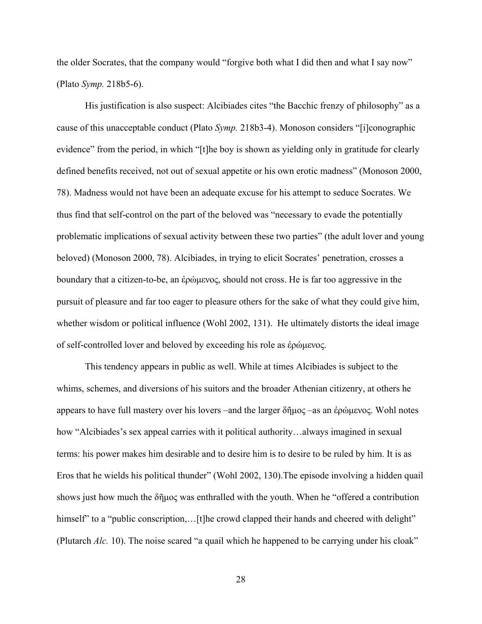the older Socrates, that the company would "forgive both what I did then and what I say now" (Plato *Symp.* 218b5-6).

 His justification is also suspect: Alcibiades cites "the Bacchic frenzy of philosophy" as a cause of this unacceptable conduct (Plato *Symp.* 218b3-4). Monoson considers "[i]conographic evidence" from the period, in which "[t]he boy is shown as yielding only in gratitude for clearly defined benefits received, not out of sexual appetite or his own erotic madness" (Monoson 2000, 78). Madness would not have been an adequate excuse for his attempt to seduce Socrates. We thus find that self-control on the part of the beloved was "necessary to evade the potentially problematic implications of sexual activity between these two parties" (the adult lover and young beloved) (Monoson 2000, 78). Alcibiades, in trying to elicit Socrates' penetration, crosses a boundary that a citizen-to-be, an ἐρώμενος, should not cross. He is far too aggressive in the pursuit of pleasure and far too eager to pleasure others for the sake of what they could give him, whether wisdom or political influence (Wohl 2002, 131). He ultimately distorts the ideal image of self-controlled lover and beloved by exceeding his role as ἐρώμενος.

 This tendency appears in public as well. While at times Alcibiades is subject to the whims, schemes, and diversions of his suitors and the broader Athenian citizenry, at others he appears to have full mastery over his lovers –and the larger δῆμος –as an ἐρώμενος. Wohl notes how "Alcibiades's sex appeal carries with it political authority…always imagined in sexual terms: his power makes him desirable and to desire him is to desire to be ruled by him. It is as Eros that he wields his political thunder" (Wohl 2002, 130).The episode involving a hidden quail shows just how much the δῆμος was enthralled with the youth. When he "offered a contribution himself" to a "public conscription,... [t]he crowd clapped their hands and cheered with delight" (Plutarch *Alc.* 10). The noise scared "a quail which he happened to be carrying under his cloak"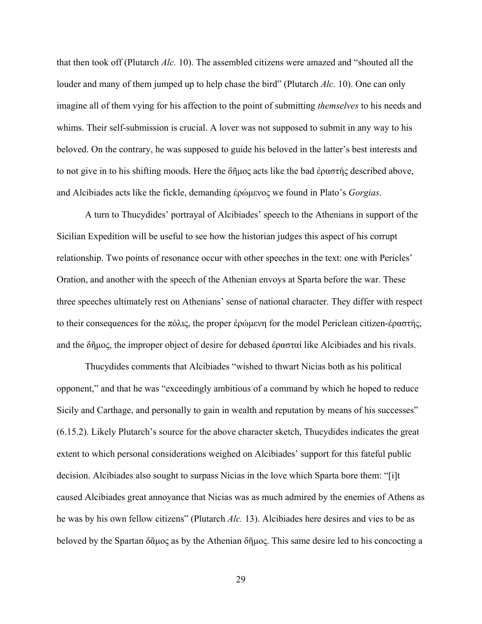that then took off (Plutarch *Alc.* 10). The assembled citizens were amazed and "shouted all the louder and many of them jumped up to help chase the bird" (Plutarch *Alc.* 10). One can only imagine all of them vying for his affection to the point of submitting *themselves* to his needs and whims. Their self-submission is crucial. A lover was not supposed to submit in any way to his beloved. On the contrary, he was supposed to guide his beloved in the latter's best interests and to not give in to his shifting moods. Here the δήμος acts like the bad έραστής described above, and Alcibiades acts like the fickle, demanding ἐρώμενος we found in Plato's *Gorgias*.

 A turn to Thucydides' portrayal of Alcibiades' speech to the Athenians in support of the Sicilian Expedition will be useful to see how the historian judges this aspect of his corrupt relationship. Two points of resonance occur with other speeches in the text: one with Pericles' Oration, and another with the speech of the Athenian envoys at Sparta before the war. These three speeches ultimately rest on Athenians' sense of national character. They differ with respect to their consequences for the πόλις, the proper ἐρώμενη for the model Periclean citizen-ἐραστής, and the δῆμος, the improper object of desire for debased ἐρασταί like Alcibiades and his rivals.

 Thucydides comments that Alcibiades "wished to thwart Nicias both as his political opponent," and that he was "exceedingly ambitious of a command by which he hoped to reduce Sicily and Carthage, and personally to gain in wealth and reputation by means of his successes" (6.15.2). Likely Plutarch's source for the above character sketch, Thucydides indicates the great extent to which personal considerations weighed on Alcibiades' support for this fateful public decision. Alcibiades also sought to surpass Nicias in the love which Sparta bore them: "[i]t caused Alcibiades great annoyance that Nicias was as much admired by the enemies of Athens as he was by his own fellow citizens" (Plutarch *Alc.* 13). Alcibiades here desires and vies to be as beloved by the Spartan δᾶμος as by the Athenian δῆμος. This same desire led to his concocting a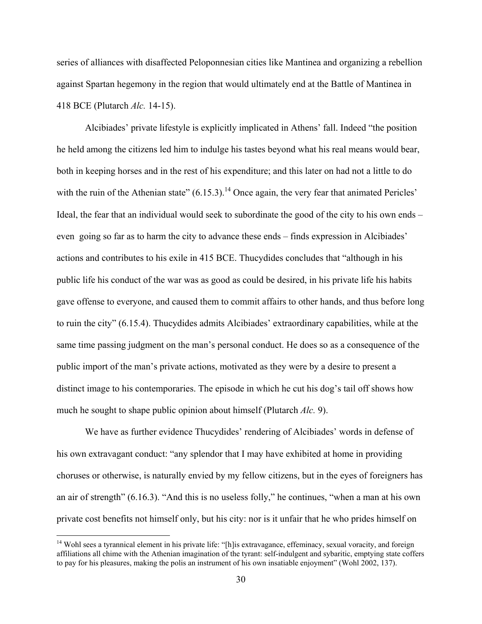series of alliances with disaffected Peloponnesian cities like Mantinea and organizing a rebellion against Spartan hegemony in the region that would ultimately end at the Battle of Mantinea in 418 BCE (Plutarch *Alc.* 14-15).

 Alcibiades' private lifestyle is explicitly implicated in Athens' fall. Indeed "the position he held among the citizens led him to indulge his tastes beyond what his real means would bear, both in keeping horses and in the rest of his expenditure; and this later on had not a little to do with the ruin of the Athenian state"  $(6.15.3)$ .<sup>14</sup> Once again, the very fear that animated Pericles' Ideal, the fear that an individual would seek to subordinate the good of the city to his own ends – even going so far as to harm the city to advance these ends – finds expression in Alcibiades' actions and contributes to his exile in 415 BCE. Thucydides concludes that "although in his public life his conduct of the war was as good as could be desired, in his private life his habits gave offense to everyone, and caused them to commit affairs to other hands, and thus before long to ruin the city" (6.15.4). Thucydides admits Alcibiades' extraordinary capabilities, while at the same time passing judgment on the man's personal conduct. He does so as a consequence of the public import of the man's private actions, motivated as they were by a desire to present a distinct image to his contemporaries. The episode in which he cut his dog's tail off shows how much he sought to shape public opinion about himself (Plutarch *Alc.* 9).

 We have as further evidence Thucydides' rendering of Alcibiades' words in defense of his own extravagant conduct: "any splendor that I may have exhibited at home in providing choruses or otherwise, is naturally envied by my fellow citizens, but in the eyes of foreigners has an air of strength" (6.16.3). "And this is no useless folly," he continues, "when a man at his own private cost benefits not himself only, but his city: nor is it unfair that he who prides himself on

<sup>&</sup>lt;sup>14</sup> Wohl sees a tyrannical element in his private life: "[h]is extravagance, effeminacy, sexual voracity, and foreign affiliations all chime with the Athenian imagination of the tyrant: self-indulgent and sybaritic, emptying state coffers to pay for his pleasures, making the polis an instrument of his own insatiable enjoyment" (Wohl 2002, 137).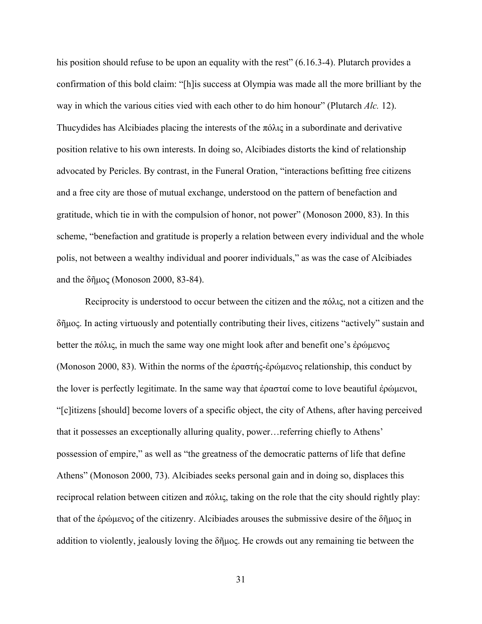his position should refuse to be upon an equality with the rest" (6.16.3-4). Plutarch provides a confirmation of this bold claim: "[h]is success at Olympia was made all the more brilliant by the way in which the various cities vied with each other to do him honour" (Plutarch *Alc.* 12). Thucydides has Alcibiades placing the interests of the πόλις in a subordinate and derivative position relative to his own interests. In doing so, Alcibiades distorts the kind of relationship advocated by Pericles. By contrast, in the Funeral Oration, "interactions befitting free citizens and a free city are those of mutual exchange, understood on the pattern of benefaction and gratitude, which tie in with the compulsion of honor, not power" (Monoson 2000, 83). In this scheme, "benefaction and gratitude is properly a relation between every individual and the whole polis, not between a wealthy individual and poorer individuals," as was the case of Alcibiades and the δῆμος (Monoson 2000, 83-84).

Reciprocity is understood to occur between the citizen and the  $\pi\delta\lambda$ <sub>15</sub>, not a citizen and the δῆμος. In acting virtuously and potentially contributing their lives, citizens "actively" sustain and better the πόλις, in much the same way one might look after and benefit one's ἐρώμενος (Monoson 2000, 83). Within the norms of the ἐραστής-ἐρώμενος relationship, this conduct by the lover is perfectly legitimate. In the same way that ἐρασταί come to love beautiful ἐρώμενοι, "[c]itizens [should] become lovers of a specific object, the city of Athens, after having perceived that it possesses an exceptionally alluring quality, power…referring chiefly to Athens' possession of empire," as well as "the greatness of the democratic patterns of life that define Athens" (Monoson 2000, 73). Alcibiades seeks personal gain and in doing so, displaces this reciprocal relation between citizen and πόλις, taking on the role that the city should rightly play: that of the ἐρώμενος of the citizenry. Alcibiades arouses the submissive desire of the δῆμος in addition to violently, jealously loving the  $\delta\tilde{\eta} \mu$ oς. He crowds out any remaining tie between the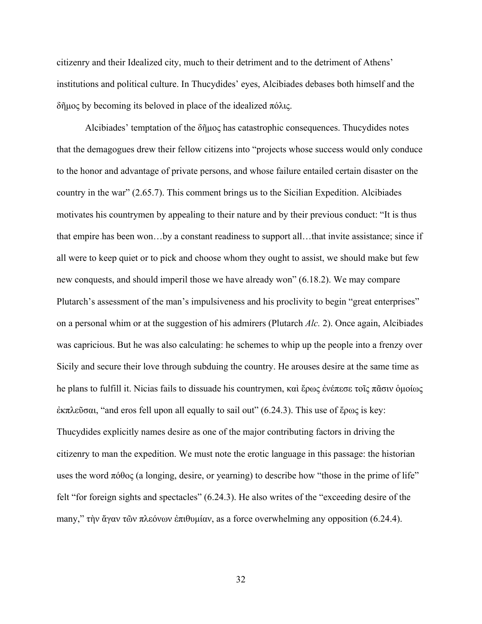citizenry and their Idealized city, much to their detriment and to the detriment of Athens' institutions and political culture. In Thucydides' eyes, Alcibiades debases both himself and the δῆμος by becoming its beloved in place of the idealized πόλις.

 Alcibiades' temptation of the δῆμος has catastrophic consequences. Thucydides notes that the demagogues drew their fellow citizens into "projects whose success would only conduce to the honor and advantage of private persons, and whose failure entailed certain disaster on the country in the war" (2.65.7). This comment brings us to the Sicilian Expedition. Alcibiades motivates his countrymen by appealing to their nature and by their previous conduct: "It is thus that empire has been won…by a constant readiness to support all…that invite assistance; since if all were to keep quiet or to pick and choose whom they ought to assist, we should make but few new conquests, and should imperil those we have already won" (6.18.2). We may compare Plutarch's assessment of the man's impulsiveness and his proclivity to begin "great enterprises" on a personal whim or at the suggestion of his admirers (Plutarch *Alc.* 2). Once again, Alcibiades was capricious. But he was also calculating: he schemes to whip up the people into a frenzy over Sicily and secure their love through subduing the country. He arouses desire at the same time as he plans to fulfill it. Nicias fails to dissuade his countrymen, καὶ ἔρως ἐνέπεσε τοῖς πᾶσιν ὁμοίως ἐκπλεῦσαι, "and eros fell upon all equally to sail out" (6.24.3). This use of ἔρως is key: Thucydides explicitly names desire as one of the major contributing factors in driving the citizenry to man the expedition. We must note the erotic language in this passage: the historian uses the word  $\pi \phi \theta$  (a longing, desire, or yearning) to describe how "those in the prime of life" felt "for foreign sights and spectacles" (6.24.3). He also writes of the "exceeding desire of the many," τὴν ἄγαν τῶν πλεόνων ἐπιθυμίαν, as a force overwhelming any opposition (6.24.4).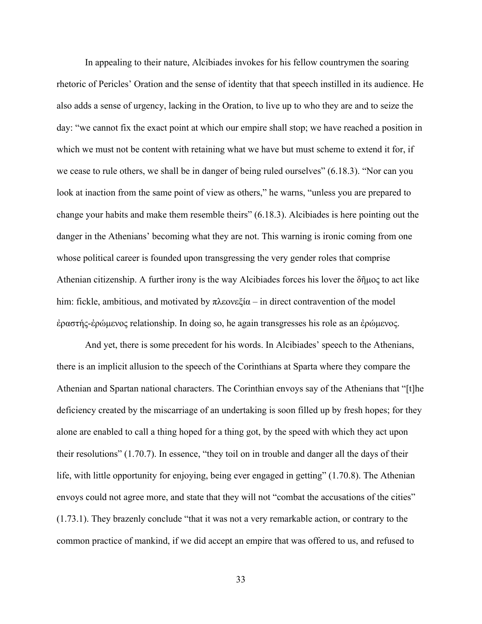In appealing to their nature, Alcibiades invokes for his fellow countrymen the soaring rhetoric of Pericles' Oration and the sense of identity that that speech instilled in its audience. He also adds a sense of urgency, lacking in the Oration, to live up to who they are and to seize the day: "we cannot fix the exact point at which our empire shall stop; we have reached a position in which we must not be content with retaining what we have but must scheme to extend it for, if we cease to rule others, we shall be in danger of being ruled ourselves" (6.18.3). "Nor can you look at inaction from the same point of view as others," he warns, "unless you are prepared to change your habits and make them resemble theirs" (6.18.3). Alcibiades is here pointing out the danger in the Athenians' becoming what they are not. This warning is ironic coming from one whose political career is founded upon transgressing the very gender roles that comprise Athenian citizenship. A further irony is the way Alcibiades forces his lover the δῆμος to act like him: fickle, ambitious, and motivated by πλεονεξία – in direct contravention of the model ἐραστής-ἐρώμενος relationship. In doing so, he again transgresses his role as an ἐρώμενος.

 And yet, there is some precedent for his words. In Alcibiades' speech to the Athenians, there is an implicit allusion to the speech of the Corinthians at Sparta where they compare the Athenian and Spartan national characters. The Corinthian envoys say of the Athenians that "[t]he deficiency created by the miscarriage of an undertaking is soon filled up by fresh hopes; for they alone are enabled to call a thing hoped for a thing got, by the speed with which they act upon their resolutions" (1.70.7). In essence, "they toil on in trouble and danger all the days of their life, with little opportunity for enjoying, being ever engaged in getting" (1.70.8). The Athenian envoys could not agree more, and state that they will not "combat the accusations of the cities" (1.73.1). They brazenly conclude "that it was not a very remarkable action, or contrary to the common practice of mankind, if we did accept an empire that was offered to us, and refused to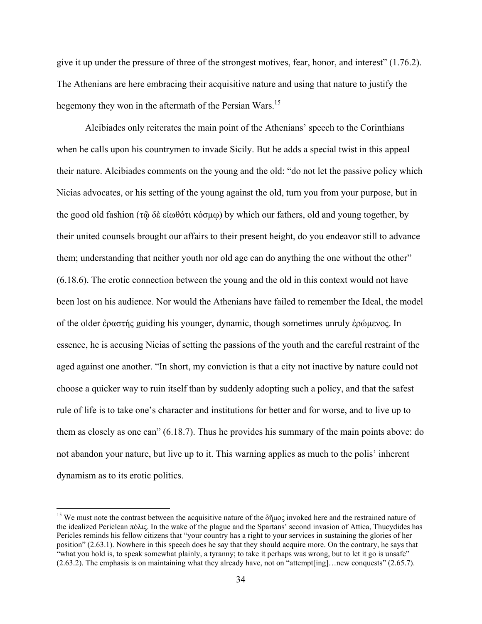give it up under the pressure of three of the strongest motives, fear, honor, and interest" (1.76.2). The Athenians are here embracing their acquisitive nature and using that nature to justify the hegemony they won in the aftermath of the Persian Wars.<sup>15</sup>

 Alcibiades only reiterates the main point of the Athenians' speech to the Corinthians when he calls upon his countrymen to invade Sicily. But he adds a special twist in this appeal their nature. Alcibiades comments on the young and the old: "do not let the passive policy which Nicias advocates, or his setting of the young against the old, turn you from your purpose, but in the good old fashion (τῷ δὲ εἰωθότι κόσμῳ) by which our fathers, old and young together, by their united counsels brought our affairs to their present height, do you endeavor still to advance them; understanding that neither youth nor old age can do anything the one without the other" (6.18.6). The erotic connection between the young and the old in this context would not have been lost on his audience. Nor would the Athenians have failed to remember the Ideal, the model of the older ἐραστής guiding his younger, dynamic, though sometimes unruly ἐρώμενος. In essence, he is accusing Nicias of setting the passions of the youth and the careful restraint of the aged against one another. "In short, my conviction is that a city not inactive by nature could not choose a quicker way to ruin itself than by suddenly adopting such a policy, and that the safest rule of life is to take one's character and institutions for better and for worse, and to live up to them as closely as one can" (6.18.7). Thus he provides his summary of the main points above: do not abandon your nature, but live up to it. This warning applies as much to the polis' inherent dynamism as to its erotic politics.

<sup>&</sup>lt;sup>15</sup> We must note the contrast between the acquisitive nature of the  $\delta \tilde{\eta}$ μος invoked here and the restrained nature of the idealized Periclean πόλις. In the wake of the plague and the Spartans' second invasion of Attica, Thucydides has Pericles reminds his fellow citizens that "your country has a right to your services in sustaining the glories of her position" (2.63.1). Nowhere in this speech does he say that they should acquire more. On the contrary, he says that "what you hold is, to speak somewhat plainly, a tyranny; to take it perhaps was wrong, but to let it go is unsafe" (2.63.2). The emphasis is on maintaining what they already have, not on "attempt[ing]…new conquests" (2.65.7).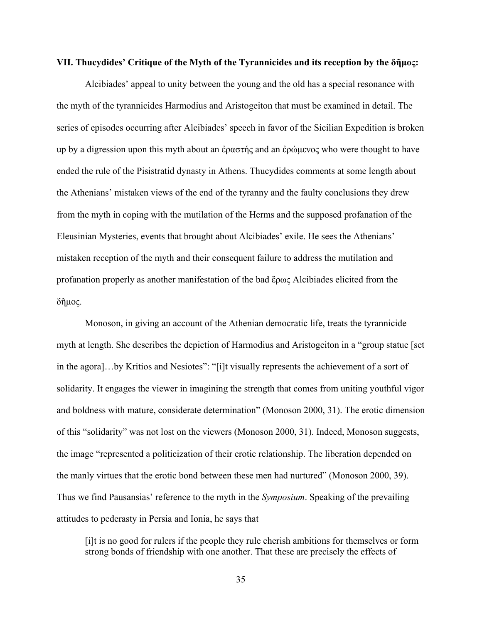#### **VII. Thucydides' Critique of the Myth of the Tyrannicides and its reception by the δῆμος:**

 Alcibiades' appeal to unity between the young and the old has a special resonance with the myth of the tyrannicides Harmodius and Aristogeiton that must be examined in detail. The series of episodes occurring after Alcibiades' speech in favor of the Sicilian Expedition is broken up by a digression upon this myth about an ἐραστής and an ἐρώμενος who were thought to have ended the rule of the Pisistratid dynasty in Athens. Thucydides comments at some length about the Athenians' mistaken views of the end of the tyranny and the faulty conclusions they drew from the myth in coping with the mutilation of the Herms and the supposed profanation of the Eleusinian Mysteries, events that brought about Alcibiades' exile. He sees the Athenians' mistaken reception of the myth and their consequent failure to address the mutilation and profanation properly as another manifestation of the bad ἔρως Alcibiades elicited from the δῆμος.

 Monoson, in giving an account of the Athenian democratic life, treats the tyrannicide myth at length. She describes the depiction of Harmodius and Aristogeiton in a "group statue [set in the agora]…by Kritios and Nesiotes": "[i]t visually represents the achievement of a sort of solidarity. It engages the viewer in imagining the strength that comes from uniting youthful vigor and boldness with mature, considerate determination" (Monoson 2000, 31). The erotic dimension of this "solidarity" was not lost on the viewers (Monoson 2000, 31). Indeed, Monoson suggests, the image "represented a politicization of their erotic relationship. The liberation depended on the manly virtues that the erotic bond between these men had nurtured" (Monoson 2000, 39). Thus we find Pausansias' reference to the myth in the *Symposium*. Speaking of the prevailing attitudes to pederasty in Persia and Ionia, he says that

[i]t is no good for rulers if the people they rule cherish ambitions for themselves or form strong bonds of friendship with one another. That these are precisely the effects of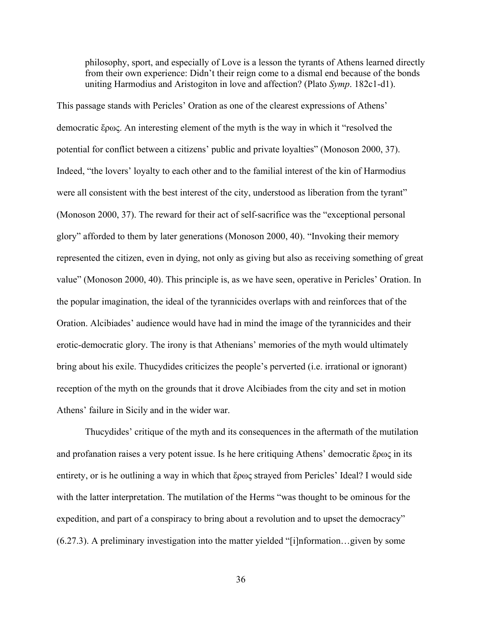philosophy, sport, and especially of Love is a lesson the tyrants of Athens learned directly from their own experience: Didn't their reign come to a dismal end because of the bonds uniting Harmodius and Aristogiton in love and affection? (Plato *Symp*. 182c1-d1).

This passage stands with Pericles' Oration as one of the clearest expressions of Athens' democratic ἔρως. An interesting element of the myth is the way in which it "resolved the potential for conflict between a citizens' public and private loyalties" (Monoson 2000, 37). Indeed, "the lovers' loyalty to each other and to the familial interest of the kin of Harmodius were all consistent with the best interest of the city, understood as liberation from the tyrant" (Monoson 2000, 37). The reward for their act of self-sacrifice was the "exceptional personal glory" afforded to them by later generations (Monoson 2000, 40). "Invoking their memory represented the citizen, even in dying, not only as giving but also as receiving something of great value" (Monoson 2000, 40). This principle is, as we have seen, operative in Pericles' Oration. In the popular imagination, the ideal of the tyrannicides overlaps with and reinforces that of the Oration. Alcibiades' audience would have had in mind the image of the tyrannicides and their erotic-democratic glory. The irony is that Athenians' memories of the myth would ultimately bring about his exile. Thucydides criticizes the people's perverted (i.e. irrational or ignorant) reception of the myth on the grounds that it drove Alcibiades from the city and set in motion Athens' failure in Sicily and in the wider war.

 Thucydides' critique of the myth and its consequences in the aftermath of the mutilation and profanation raises a very potent issue. Is he here critiquing Athens' democratic ἔρως in its entirety, or is he outlining a way in which that ἔρως strayed from Pericles' Ideal? I would side with the latter interpretation. The mutilation of the Herms "was thought to be ominous for the expedition, and part of a conspiracy to bring about a revolution and to upset the democracy" (6.27.3). A preliminary investigation into the matter yielded "[i]nformation…given by some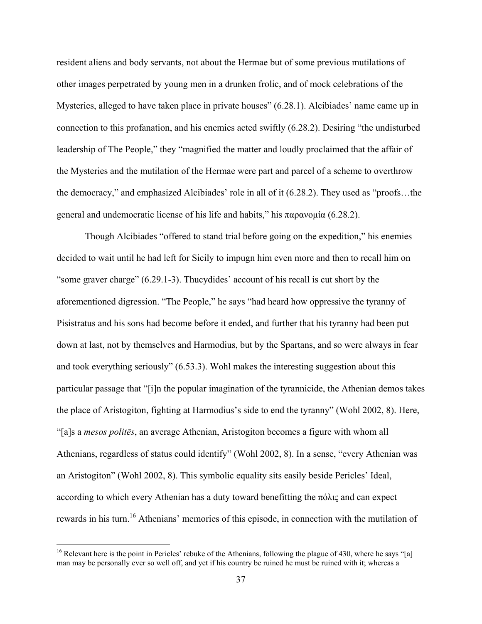resident aliens and body servants, not about the Hermae but of some previous mutilations of other images perpetrated by young men in a drunken frolic, and of mock celebrations of the Mysteries, alleged to have taken place in private houses" (6.28.1). Alcibiades' name came up in connection to this profanation, and his enemies acted swiftly (6.28.2). Desiring "the undisturbed leadership of The People," they "magnified the matter and loudly proclaimed that the affair of the Mysteries and the mutilation of the Hermae were part and parcel of a scheme to overthrow the democracy," and emphasized Alcibiades' role in all of it (6.28.2). They used as "proofs…the general and undemocratic license of his life and habits," his παρανομία (6.28.2).

 Though Alcibiades "offered to stand trial before going on the expedition," his enemies decided to wait until he had left for Sicily to impugn him even more and then to recall him on "some graver charge" (6.29.1-3). Thucydides' account of his recall is cut short by the aforementioned digression. "The People," he says "had heard how oppressive the tyranny of Pisistratus and his sons had become before it ended, and further that his tyranny had been put down at last, not by themselves and Harmodius, but by the Spartans, and so were always in fear and took everything seriously" (6.53.3). Wohl makes the interesting suggestion about this particular passage that "[i]n the popular imagination of the tyrannicide, the Athenian demos takes the place of Aristogiton, fighting at Harmodius's side to end the tyranny" (Wohl 2002, 8). Here, "[a]s a *mesos politēs*, an average Athenian, Aristogiton becomes a figure with whom all Athenians, regardless of status could identify" (Wohl 2002, 8). In a sense, "every Athenian was an Aristogiton" (Wohl 2002, 8). This symbolic equality sits easily beside Pericles' Ideal, according to which every Athenian has a duty toward benefitting the πόλις and can expect rewards in his turn.<sup>16</sup> Athenians' memories of this episode, in connection with the mutilation of

<sup>&</sup>lt;sup>16</sup> Relevant here is the point in Pericles' rebuke of the Athenians, following the plague of 430, where he says "[a] man may be personally ever so well off, and yet if his country be ruined he must be ruined with it; whereas a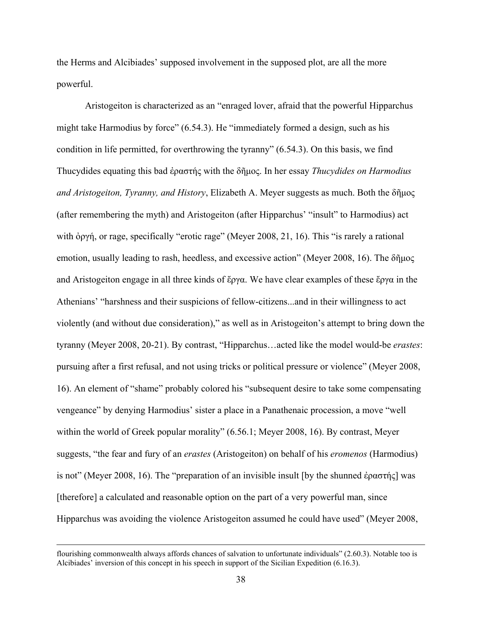the Herms and Alcibiades' supposed involvement in the supposed plot, are all the more powerful.

 Aristogeiton is characterized as an "enraged lover, afraid that the powerful Hipparchus might take Harmodius by force" (6.54.3). He "immediately formed a design, such as his condition in life permitted, for overthrowing the tyranny" (6.54.3). On this basis, we find Thucydides equating this bad ἐραστής with the δῆμος. In her essay *Thucydides on Harmodius and Aristogeiton, Tyranny, and History*, Elizabeth A. Meyer suggests as much. Both the δῆμος (after remembering the myth) and Aristogeiton (after Hipparchus' "insult" to Harmodius) act with ὀργή, or rage, specifically "erotic rage" (Meyer 2008, 21, 16). This "is rarely a rational emotion, usually leading to rash, heedless, and excessive action" (Meyer 2008, 16). The δῆμος and Aristogeiton engage in all three kinds of ἔργα. We have clear examples of these ἔργα in the Athenians' "harshness and their suspicions of fellow-citizens...and in their willingness to act violently (and without due consideration)," as well as in Aristogeiton's attempt to bring down the tyranny (Meyer 2008, 20-21). By contrast, "Hipparchus…acted like the model would-be *erastes*: pursuing after a first refusal, and not using tricks or political pressure or violence" (Meyer 2008, 16). An element of "shame" probably colored his "subsequent desire to take some compensating vengeance" by denying Harmodius' sister a place in a Panathenaic procession, a move "well within the world of Greek popular morality" (6.56.1; Meyer 2008, 16). By contrast, Meyer suggests, "the fear and fury of an *erastes* (Aristogeiton) on behalf of his *eromenos* (Harmodius) is not" (Meyer 2008, 16). The "preparation of an invisible insult [by the shunned ἐραστής] was [therefore] a calculated and reasonable option on the part of a very powerful man, since Hipparchus was avoiding the violence Aristogeiton assumed he could have used" (Meyer 2008,

flourishing commonwealth always affords chances of salvation to unfortunate individuals" (2.60.3). Notable too is Alcibiades' inversion of this concept in his speech in support of the Sicilian Expedition (6.16.3).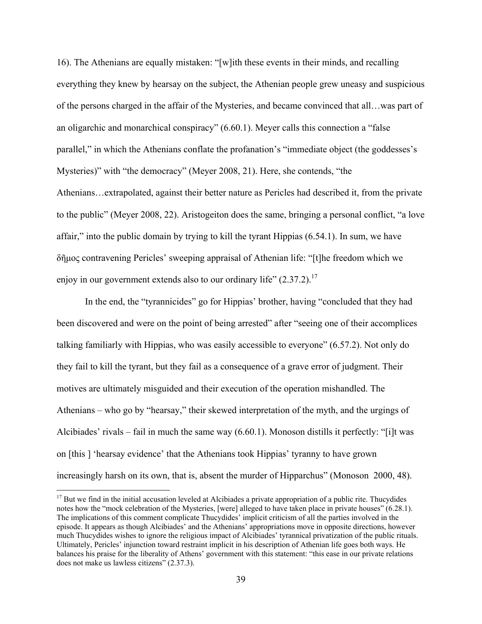16). The Athenians are equally mistaken: "[w]ith these events in their minds, and recalling everything they knew by hearsay on the subject, the Athenian people grew uneasy and suspicious of the persons charged in the affair of the Mysteries, and became convinced that all…was part of an oligarchic and monarchical conspiracy" (6.60.1). Meyer calls this connection a "false parallel," in which the Athenians conflate the profanation's "immediate object (the goddesses's Mysteries)" with "the democracy" (Meyer 2008, 21). Here, she contends, "the Athenians…extrapolated, against their better nature as Pericles had described it, from the private to the public" (Meyer 2008, 22). Aristogeiton does the same, bringing a personal conflict, "a love affair," into the public domain by trying to kill the tyrant Hippias (6.54.1). In sum, we have δῆμος contravening Pericles' sweeping appraisal of Athenian life: "[t]he freedom which we enjoy in our government extends also to our ordinary life"  $(2.37.2)$ .<sup>17</sup>

 In the end, the "tyrannicides" go for Hippias' brother, having "concluded that they had been discovered and were on the point of being arrested" after "seeing one of their accomplices talking familiarly with Hippias, who was easily accessible to everyone" (6.57.2). Not only do they fail to kill the tyrant, but they fail as a consequence of a grave error of judgment. Their motives are ultimately misguided and their execution of the operation mishandled. The Athenians – who go by "hearsay," their skewed interpretation of the myth, and the urgings of Alcibiades' rivals – fail in much the same way (6.60.1). Monoson distills it perfectly: "[i]t was on [this ] 'hearsay evidence' that the Athenians took Hippias' tyranny to have grown increasingly harsh on its own, that is, absent the murder of Hipparchus" (Monoson 2000, 48).

<sup>&</sup>lt;sup>17</sup> But we find in the initial accusation leveled at Alcibiades a private appropriation of a public rite. Thucydides notes how the "mock celebration of the Mysteries, [were] alleged to have taken place in private houses" (6.28.1). The implications of this comment complicate Thucydides' implicit criticism of all the parties involved in the episode. It appears as though Alcibiades' and the Athenians' appropriations move in opposite directions, however much Thucydides wishes to ignore the religious impact of Alcibiades' tyrannical privatization of the public rituals. Ultimately, Pericles' injunction toward restraint implicit in his description of Athenian life goes both ways. He balances his praise for the liberality of Athens' government with this statement: "this ease in our private relations does not make us lawless citizens" (2.37.3).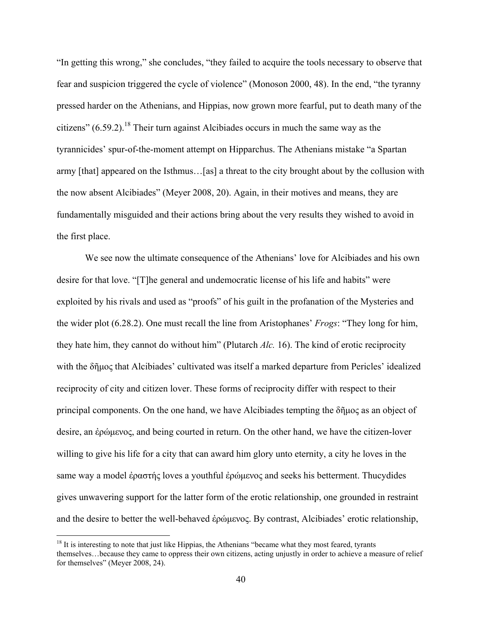"In getting this wrong," she concludes, "they failed to acquire the tools necessary to observe that fear and suspicion triggered the cycle of violence" (Monoson 2000, 48). In the end, "the tyranny pressed harder on the Athenians, and Hippias, now grown more fearful, put to death many of the citizens"  $(6.59.2)$ <sup>18</sup>. Their turn against Alcibiades occurs in much the same way as the tyrannicides' spur-of-the-moment attempt on Hipparchus. The Athenians mistake "a Spartan army [that] appeared on the Isthmus…[as] a threat to the city brought about by the collusion with the now absent Alcibiades" (Meyer 2008, 20). Again, in their motives and means, they are fundamentally misguided and their actions bring about the very results they wished to avoid in the first place.

 We see now the ultimate consequence of the Athenians' love for Alcibiades and his own desire for that love. "[T]he general and undemocratic license of his life and habits" were exploited by his rivals and used as "proofs" of his guilt in the profanation of the Mysteries and the wider plot (6.28.2). One must recall the line from Aristophanes' *Frogs*: "They long for him, they hate him, they cannot do without him" (Plutarch *Alc.* 16). The kind of erotic reciprocity with the δῆμος that Alcibiades' cultivated was itself a marked departure from Pericles' idealized reciprocity of city and citizen lover. These forms of reciprocity differ with respect to their principal components. On the one hand, we have Alcibiades tempting the δῆμος as an object of desire, an ἐρώμενος, and being courted in return. On the other hand, we have the citizen-lover willing to give his life for a city that can award him glory unto eternity, a city he loves in the same way a model ἐραστής loves a youthful ἐρώμενος and seeks his betterment. Thucydides gives unwavering support for the latter form of the erotic relationship, one grounded in restraint and the desire to better the well-behaved ἐρώμενος. By contrast, Alcibiades' erotic relationship,

<sup>&</sup>lt;sup>18</sup> It is interesting to note that just like Hippias, the Athenians "became what they most feared, tyrants themselves…because they came to oppress their own citizens, acting unjustly in order to achieve a measure of relief for themselves" (Meyer 2008, 24).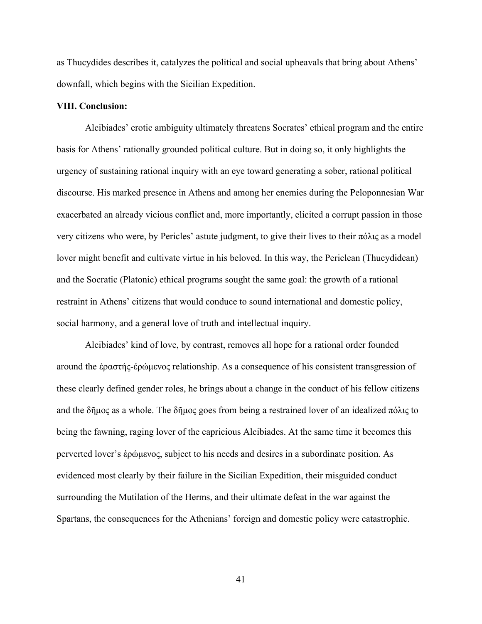as Thucydides describes it, catalyzes the political and social upheavals that bring about Athens' downfall, which begins with the Sicilian Expedition.

#### **VIII. Conclusion:**

Alcibiades' erotic ambiguity ultimately threatens Socrates' ethical program and the entire basis for Athens' rationally grounded political culture. But in doing so, it only highlights the urgency of sustaining rational inquiry with an eye toward generating a sober, rational political discourse. His marked presence in Athens and among her enemies during the Peloponnesian War exacerbated an already vicious conflict and, more importantly, elicited a corrupt passion in those very citizens who were, by Pericles' astute judgment, to give their lives to their πόλις as a model lover might benefit and cultivate virtue in his beloved. In this way, the Periclean (Thucydidean) and the Socratic (Platonic) ethical programs sought the same goal: the growth of a rational restraint in Athens' citizens that would conduce to sound international and domestic policy, social harmony, and a general love of truth and intellectual inquiry.

 Alcibiades' kind of love, by contrast, removes all hope for a rational order founded around the ἐραστής-ἐρώμενος relationship. As a consequence of his consistent transgression of these clearly defined gender roles, he brings about a change in the conduct of his fellow citizens and the δῆμος as a whole. The δῆμος goes from being a restrained lover of an idealized πόλις to being the fawning, raging lover of the capricious Alcibiades. At the same time it becomes this perverted lover's ἐρώμενος, subject to his needs and desires in a subordinate position. As evidenced most clearly by their failure in the Sicilian Expedition, their misguided conduct surrounding the Mutilation of the Herms, and their ultimate defeat in the war against the Spartans, the consequences for the Athenians' foreign and domestic policy were catastrophic.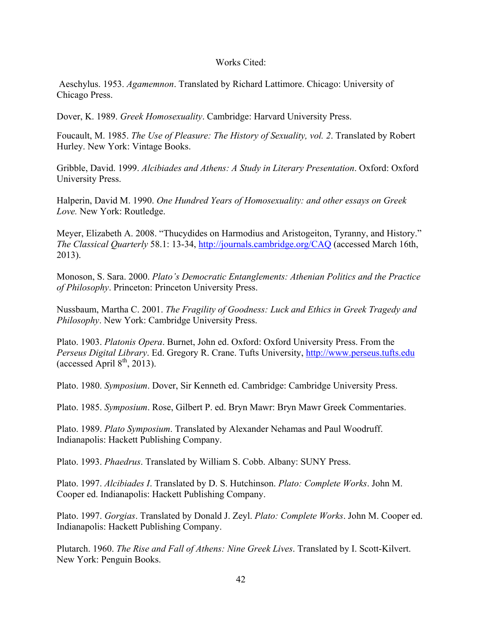# Works Cited:

 Aeschylus. 1953. *Agamemnon*. Translated by Richard Lattimore. Chicago: University of Chicago Press.

Dover, K. 1989. *Greek Homosexuality*. Cambridge: Harvard University Press.

Foucault, M. 1985. *The Use of Pleasure: The History of Sexuality, vol. 2*. Translated by Robert Hurley. New York: Vintage Books.

Gribble, David. 1999. *Alcibiades and Athens: A Study in Literary Presentation*. Oxford: Oxford University Press.

Halperin, David M. 1990. *One Hundred Years of Homosexuality: and other essays on Greek Love.* New York: Routledge.

Meyer, Elizabeth A. 2008. "Thucydides on Harmodius and Aristogeiton, Tyranny, and History." *The Classical Quarterly* 58.1: 13-34, http://journals.cambridge.org/CAQ (accessed March 16th, 2013).

Monoson, S. Sara. 2000. *Plato's Democratic Entanglements: Athenian Politics and the Practice of Philosophy*. Princeton: Princeton University Press.

Nussbaum, Martha C. 2001. *The Fragility of Goodness: Luck and Ethics in Greek Tragedy and Philosophy*. New York: Cambridge University Press.

Plato. 1903. *Platonis Opera*. Burnet, John ed. Oxford: Oxford University Press. From the *Perseus Digital Library*. Ed. Gregory R. Crane. Tufts University, http://www.perseus.tufts.edu (accessed April  $8<sup>th</sup>$ , 2013).

Plato. 1980. *Symposium*. Dover, Sir Kenneth ed. Cambridge: Cambridge University Press.

Plato. 1985. *Symposium*. Rose, Gilbert P. ed. Bryn Mawr: Bryn Mawr Greek Commentaries.

Plato. 1989. *Plato Symposium*. Translated by Alexander Nehamas and Paul Woodruff. Indianapolis: Hackett Publishing Company.

Plato. 1993. *Phaedrus*. Translated by William S. Cobb. Albany: SUNY Press.

Plato. 1997. *Alcibiades I*. Translated by D. S. Hutchinson. *Plato: Complete Works*. John M. Cooper ed. Indianapolis: Hackett Publishing Company.

Plato. 1997. *Gorgias*. Translated by Donald J. Zeyl. *Plato: Complete Works*. John M. Cooper ed. Indianapolis: Hackett Publishing Company.

Plutarch. 1960. *The Rise and Fall of Athens: Nine Greek Lives*. Translated by I. Scott-Kilvert. New York: Penguin Books.